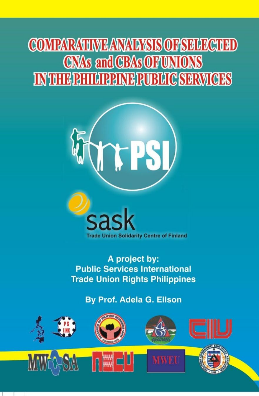## **COMPARATIME ANAIAYSIS OF SELECTED CNAs and CBAs OF UNIONS** INTHERHIGREMERUBLIC SERVICES



A project by: **Public Services International Trade Union Rights Philippines** 

**By Prof. Adela G. Ellson** 

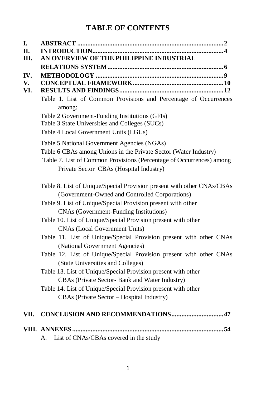#### **TABLE OF CONTENTS**

| I.        |                                                                                                                                                                                                                                                                                                                                                                                                                                                                                                                                                                                                                                                                                                                                                                                                 |
|-----------|-------------------------------------------------------------------------------------------------------------------------------------------------------------------------------------------------------------------------------------------------------------------------------------------------------------------------------------------------------------------------------------------------------------------------------------------------------------------------------------------------------------------------------------------------------------------------------------------------------------------------------------------------------------------------------------------------------------------------------------------------------------------------------------------------|
| Π.        |                                                                                                                                                                                                                                                                                                                                                                                                                                                                                                                                                                                                                                                                                                                                                                                                 |
| III.      | AN OVERVIEW OF THE PHILIPPINE INDUSTRIAL                                                                                                                                                                                                                                                                                                                                                                                                                                                                                                                                                                                                                                                                                                                                                        |
|           |                                                                                                                                                                                                                                                                                                                                                                                                                                                                                                                                                                                                                                                                                                                                                                                                 |
| IV.<br>V. |                                                                                                                                                                                                                                                                                                                                                                                                                                                                                                                                                                                                                                                                                                                                                                                                 |
| VI.       |                                                                                                                                                                                                                                                                                                                                                                                                                                                                                                                                                                                                                                                                                                                                                                                                 |
|           | Table 1. List of Common Provisions and Percentage of Occurrences<br>among:<br>Table 2 Government-Funding Institutions (GFIs)<br>Table 3 State Universities and Colleges (SUCs)<br>Table 4 Local Government Units (LGUs)                                                                                                                                                                                                                                                                                                                                                                                                                                                                                                                                                                         |
|           | Table 5 National Government Agencies (NGAs)                                                                                                                                                                                                                                                                                                                                                                                                                                                                                                                                                                                                                                                                                                                                                     |
|           | Table 6 CBAs among Unions in the Private Sector (Water Industry)                                                                                                                                                                                                                                                                                                                                                                                                                                                                                                                                                                                                                                                                                                                                |
|           | Table 7. List of Common Provisions (Percentage of Occurrences) among                                                                                                                                                                                                                                                                                                                                                                                                                                                                                                                                                                                                                                                                                                                            |
|           | Private Sector CBAs (Hospital Industry)                                                                                                                                                                                                                                                                                                                                                                                                                                                                                                                                                                                                                                                                                                                                                         |
|           | Table 8. List of Unique/Special Provision present with other CNAs/CBAs<br>(Government-Owned and Controlled Corporations)<br>Table 9. List of Unique/Special Provision present with other<br>CNAs (Government-Funding Institutions)<br>Table 10. List of Unique/Special Provision present with other<br><b>CNAs (Local Government Units)</b><br>Table 11. List of Unique/Special Provision present with other CNAs<br>(National Government Agencies)<br>Table 12. List of Unique/Special Provision present with other CNAs<br>(State Universities and Colleges)<br>Table 13. List of Unique/Special Provision present with other<br>CBAs (Private Sector- Bank and Water Industry)<br>Table 14. List of Unique/Special Provision present with other<br>CBAs (Private Sector - Hospital Industry) |
| VII.      |                                                                                                                                                                                                                                                                                                                                                                                                                                                                                                                                                                                                                                                                                                                                                                                                 |
|           |                                                                                                                                                                                                                                                                                                                                                                                                                                                                                                                                                                                                                                                                                                                                                                                                 |

A. List of CNAs/CBAs covered in the study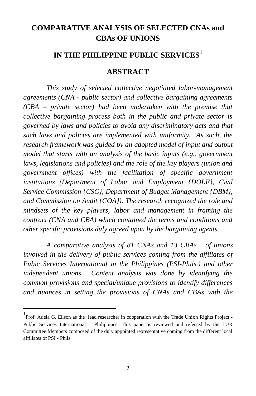#### **COMPARATIVE ANALYSIS OF SELECTED CNAs and CBAs OF UNIONS**

#### **IN THE PHILIPPINE PUBLIC SERVICES<sup>1</sup>**

#### **ABSTRACT**

*This study of selected collective negotiated labor-management agreements (CNA - public sector) and collective bargaining agreements (CBA – private sector) had been undertaken with the premise that collective bargaining process both in the public and private sector is governed by laws and policies to avoid any discriminatory acts and that such laws and policies are implemented with uniformity. As such, the research framework was guided by an adopted model of input and output model that starts with an analysis of the basic inputs (e.g., government laws, legislations and policies) and the role of the key players (union and government offices) with the facilitation of specific government institutions (Department of Labor and Employment {DOLE}, Civil Service Commission {CSC}, Department of Budget Management {DBM}, and Commission on Audit {COA}). The research recognized the role and mindsets of the key players, labor and management in framing the contract (CNA and CBA) which contained the terms and conditions and other specific provisions duly agreed upon by the bargaining agents.* 

*A comparative analysis of 81 CNAs and 13 CBAs of unions involved in the delivery of public services coming from the affiliates of Pubic Services International in the Philippines (PSI-Phils.) and other independent unions. Content analysis was done by identifying the common provisions and special/unique provisions to identify differences and nuances in setting the provisions of CNAs and CBAs with the* 

l

<sup>&</sup>lt;sup>1</sup> Prof. Adela G. Ellson as the lead researcher in cooperation with the Trade Union Rights Project -Public Services International – Philippines. This paper is reviewed and referred by the TUR Committee Members composed of the duly appointed representative coming from the different local affiliates of PSI - Phils.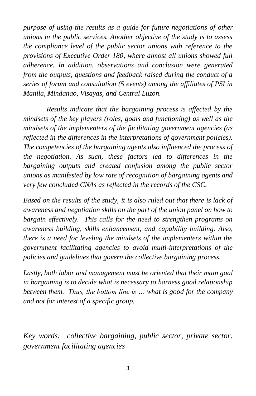*purpose of using the results as a guide for future negotiations of other unions in the public services. Another objective of the study is to assess the compliance level of the public sector unions with reference to the provisions of Executive Order 180, where almost all unions showed full adherence. In addition, observations and conclusion were generated from the outputs, questions and feedback raised during the conduct of a series of forum and consultation (5 events) among the affiliates of PSI in Manila, Mindanao, Visayas, and Central Luzon.*

*Results indicate that the bargaining process is affected by the mindsets of the key players (roles, goals and functioning) as well as the mindsets of the implementers of the facilitating government agencies (as reflected in the differences in the interpretations of government policies). The competencies of the bargaining agents also influenced the process of the negotiation. As such, these factors led to differences in the bargaining outputs and created confusion among the public sector unions as manifested by low rate of recognition of bargaining agents and very few concluded CNAs as reflected in the records of the CSC.* 

*Based on the results of the study, it is also ruled out that there is lack of awareness and negotiation skills on the part of the union panel on how to bargain effectively. This calls for the need to strengthen programs on awareness building, skills enhancement, and capability building. Also, there is a need for leveling the mindsets of the implementers within the government facilitating agencies to avoid multi-interpretations of the policies and guidelines that govern the collective bargaining process.*

*Lastly, both labor and management must be oriented that their main goal in bargaining is to decide what is necessary to harness good relationship between them. Thus, the bottom line is … what is good for the company and not for interest of a specific group.* 

*Key words: collective bargaining, public sector, private sector, government facilitating agencies*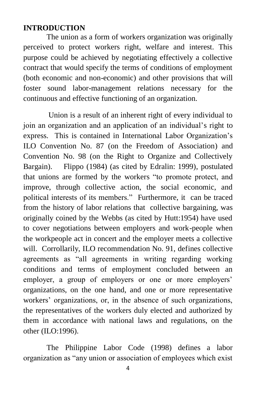#### **INTRODUCTION**

The union as a form of workers organization was originally perceived to protect workers right, welfare and interest. This purpose could be achieved by negotiating effectively a collective contract that would specify the terms of conditions of employment (both economic and non-economic) and other provisions that will foster sound labor-management relations necessary for the continuous and effective functioning of an organization.

Union is a result of an inherent right of every individual to join an organization and an application of an individual"s right to express. This is contained in International Labor Organization"s ILO Convention No. 87 (on the Freedom of Association) and Convention No. 98 (on the Right to Organize and Collectively Bargain). Flippo (1984) (as cited by Edralin: 1999), postulated that unions are formed by the workers "to promote protect, and improve, through collective action, the social economic, and political interests of its members." Furthermore, it can be traced from the history of labor relations that collective bargaining, was originally coined by the Webbs (as cited by Hutt:1954) have used to cover negotiations between employers and work-people when the workpeople act in concert and the employer meets a collective will. Corrollarily, ILO recommendation No. 91, defines collective agreements as "all agreements in writing regarding working conditions and terms of employment concluded between an employer, a group of employers or one or more employers' organizations, on the one hand, and one or more representative workers' organizations, or, in the absence of such organizations, the representatives of the workers duly elected and authorized by them in accordance with national laws and regulations, on the other (ILO:1996).

The Philippine Labor Code (1998) defines a labor organization as "any union or association of employees which exist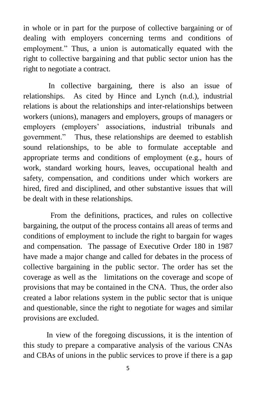in whole or in part for the purpose of collective bargaining or of dealing with employers concerning terms and conditions of employment." Thus, a union is automatically equated with the right to collective bargaining and that public sector union has the right to negotiate a contract.

In collective bargaining, there is also an issue of relationships. As cited by Hince and Lynch (n.d.), industrial relations is about the relationships and inter-relationships between workers (unions), managers and employers, groups of managers or employers (employers" associations, industrial tribunals and government." Thus, these relationships are deemed to establish sound relationships, to be able to formulate acceptable and appropriate terms and conditions of employment (e.g., hours of work, standard working hours, leaves, occupational health and safety, compensation, and conditions under which workers are hired, fired and disciplined, and other substantive issues that will be dealt with in these relationships.

 From the definitions, practices, and rules on collective bargaining, the output of the process contains all areas of terms and conditions of employment to include the right to bargain for wages and compensation. The passage of Executive Order 180 in 1987 have made a major change and called for debates in the process of collective bargaining in the public sector. The order has set the coverage as well as the limitations on the coverage and scope of provisions that may be contained in the CNA. Thus, the order also created a labor relations system in the public sector that is unique and questionable, since the right to negotiate for wages and similar provisions are excluded.

In view of the foregoing discussions, it is the intention of this study to prepare a comparative analysis of the various CNAs and CBAs of unions in the public services to prove if there is a gap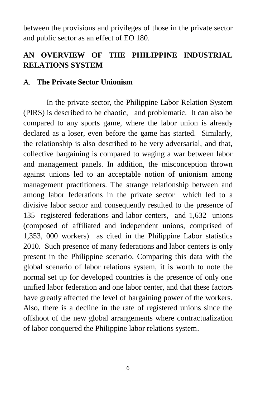between the provisions and privileges of those in the private sector and public sector as an effect of EO 180.

#### **AN OVERVIEW OF THE PHILIPPINE INDUSTRIAL RELATIONS SYSTEM**

#### A. **The Private Sector Unionism**

In the private sector, the Philippine Labor Relation System (PIRS) is described to be chaotic, and problematic. It can also be compared to any sports game, where the labor union is already declared as a loser, even before the game has started. Similarly, the relationship is also described to be very adversarial, and that, collective bargaining is compared to waging a war between labor and management panels. In addition, the misconception thrown against unions led to an acceptable notion of unionism among management practitioners. The strange relationship between and among labor federations in the private sector which led to a divisive labor sector and consequently resulted to the presence of 135 registered federations and labor centers, and 1,632 unions (composed of affiliated and independent unions, comprised of 1,353, 000 workers) as cited in the Philippine Labor statistics 2010. Such presence of many federations and labor centers is only present in the Philippine scenario. Comparing this data with the global scenario of labor relations system, it is worth to note the normal set up for developed countries is the presence of only one unified labor federation and one labor center, and that these factors have greatly affected the level of bargaining power of the workers. Also, there is a decline in the rate of registered unions since the offshoot of the new global arrangements where contractualization of labor conquered the Philippine labor relations system.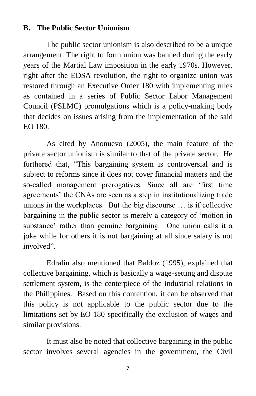#### **B. The Public Sector Unionism**

The public sector unionism is also described to be a unique arrangement. The right to form union was banned during the early years of the Martial Law imposition in the early 1970s. However, right after the EDSA revolution, the right to organize union was restored through an Executive Order 180 with implementing rules as contained in a series of Public Sector Labor Management Council (PSLMC) promulgations which is a policy-making body that decides on issues arising from the implementation of the said EO 180.

As cited by Anonuevo (2005), the main feature of the private sector unionism is similar to that of the private sector. He furthered that, "This bargaining system is controversial and is subject to reforms since it does not cover financial matters and the so-called management prerogatives. Since all are "first time agreements" the CNAs are seen as a step in institutionalizing trade unions in the workplaces. But the big discourse … is if collective bargaining in the public sector is merely a category of "motion in substance' rather than genuine bargaining. One union calls it a joke while for others it is not bargaining at all since salary is not involved".

Edralin also mentioned that Baldoz (1995), explained that collective bargaining, which is basically a wage-setting and dispute settlement system, is the centerpiece of the industrial relations in the Philippines. Based on this contention, it can be observed that this policy is not applicable to the public sector due to the limitations set by EO 180 specifically the exclusion of wages and similar provisions.

It must also be noted that collective bargaining in the public sector involves several agencies in the government, the Civil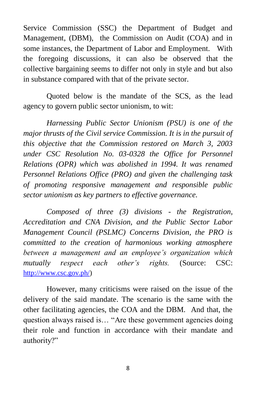Service Commission (SSC) the Department of Budget and Management, (DBM), the Commission on Audit (COA) and in some instances, the Department of Labor and Employment. With the foregoing discussions, it can also be observed that the collective bargaining seems to differ not only in style and but also in substance compared with that of the private sector.

Quoted below is the mandate of the SCS, as the lead agency to govern public sector unionism, to wit:

*Harnessing Public Sector Unionism (PSU) is one of the major thrusts of the Civil service Commission. It is in the pursuit of this objective that the Commission restored on March 3, 2003 under CSC Resolution No. 03-0328 the Office for Personnel Relations (OPR) which was abolished in 1994. It was renamed Personnel Relations Office (PRO) and given the challenging task of promoting responsive management and responsible public sector unionism as key partners to effective governance.*

*Composed of three (3) divisions - the Registration, Accreditation and CNA Division, and the Public Sector Labor Management Council (PSLMC) Concerns Division, the PRO is committed to the creation of harmonious working atmosphere between a management and an employee's organization which mutually respect each other's rights.* (Source: CSC: [http://www.csc.gov.ph/\)](http://www.csc.gov.ph/)

However, many criticisms were raised on the issue of the delivery of the said mandate. The scenario is the same with the other facilitating agencies, the COA and the DBM. And that, the question always raised is… "Are these government agencies doing their role and function in accordance with their mandate and authority?"

8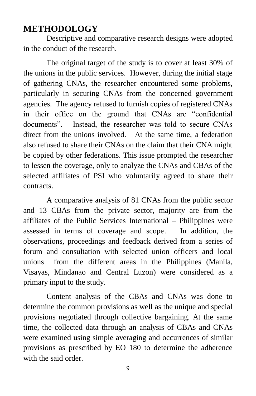#### **METHODOLOGY**

Descriptive and comparative research designs were adopted in the conduct of the research.

The original target of the study is to cover at least 30% of the unions in the public services. However, during the initial stage of gathering CNAs, the researcher encountered some problems, particularly in securing CNAs from the concerned government agencies. The agency refused to furnish copies of registered CNAs in their office on the ground that CNAs are "confidential documents". Instead, the researcher was told to secure CNAs direct from the unions involved. At the same time, a federation also refused to share their CNAs on the claim that their CNA might be copied by other federations. This issue prompted the researcher to lessen the coverage, only to analyze the CNAs and CBAs of the selected affiliates of PSI who voluntarily agreed to share their contracts.

A comparative analysis of 81 CNAs from the public sector and 13 CBAs from the private sector, majority are from the affiliates of the Public Services International – Philippines were assessed in terms of coverage and scope. In addition, the observations, proceedings and feedback derived from a series of forum and consultation with selected union officers and local unions from the different areas in the Philippines (Manila, Visayas, Mindanao and Central Luzon) were considered as a primary input to the study.

Content analysis of the CBAs and CNAs was done to determine the common provisions as well as the unique and special provisions negotiated through collective bargaining. At the same time, the collected data through an analysis of CBAs and CNAs were examined using simple averaging and occurrences of similar provisions as prescribed by EO 180 to determine the adherence with the said order.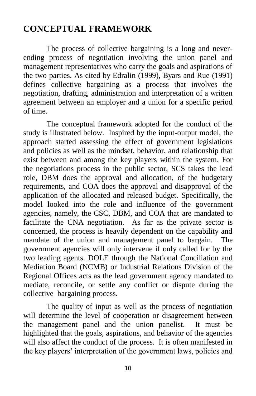#### **CONCEPTUAL FRAMEWORK**

The process of collective bargaining is a long and neverending process of negotiation involving the union panel and management representatives who carry the goals and aspirations of the two parties. As cited by Edralin (1999), Byars and Rue (1991) defines collective bargaining as a process that involves the negotiation, drafting, administration and interpretation of a written agreement between an employer and a union for a specific period of time.

The conceptual framework adopted for the conduct of the study is illustrated below. Inspired by the input-output model, the approach started assessing the effect of government legislations and policies as well as the mindset, behavior, and relationship that exist between and among the key players within the system. For the negotiations process in the public sector, SCS takes the lead role, DBM does the approval and allocation, of the budgetary requirements, and COA does the approval and disapproval of the application of the allocated and released budget. Specifically, the model looked into the role and influence of the government agencies, namely, the CSC, DBM, and COA that are mandated to facilitate the CNA negotiation. As far as the private sector is concerned, the process is heavily dependent on the capability and mandate of the union and management panel to bargain. The government agencies will only intervene if only called for by the two leading agents. DOLE through the National Conciliation and Mediation Board (NCMB) or Industrial Relations Division of the Regional Offices acts as the lead government agency mandated to mediate, reconcile, or settle any conflict or dispute during the collective bargaining process.

The quality of input as well as the process of negotiation will determine the level of cooperation or disagreement between the management panel and the union panelist. It must be highlighted that the goals, aspirations, and behavior of the agencies will also affect the conduct of the process. It is often manifested in the key players" interpretation of the government laws, policies and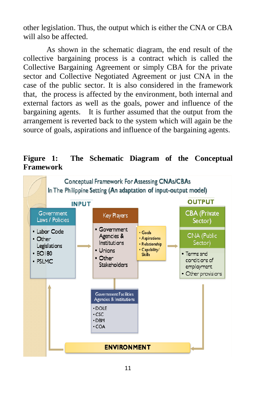other legislation. Thus, the output which is either the CNA or CBA will also be affected.

As shown in the schematic diagram, the end result of the collective bargaining process is a contract which is called the Collective Bargaining Agreement or simply CBA for the private sector and Collective Negotiated Agreement or just CNA in the case of the public sector. It is also considered in the framework that, the process is affected by the environment, both internal and external factors as well as the goals, power and influence of the bargaining agents. It is further assumed that the output from the arrangement is reverted back to the system which will again be the source of goals, aspirations and influence of the bargaining agents.

#### **Figure 1: The Schematic Diagram of the Conceptual Framework**

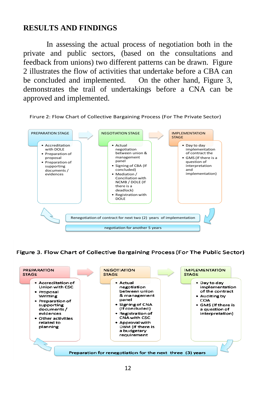#### **RESULTS AND FINDINGS**

In assessing the actual process of negotiation both in the private and public sectors, (based on the consultations and feedback from unions) two different patterns can be drawn. Figure 2 illustrates the flow of activities that undertake before a CBA can be concluded and implemented. On the other hand, Figure 3, demonstrates the trail of undertakings before a CNA can be approved and implemented.

Firure 2: Flow Chart of Collective Bargaining Process (For The Private Sector)



Figure 3. Flow Chart of Collective Bargaining Process (For The Public Sector)

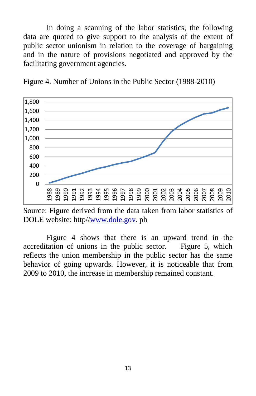In doing a scanning of the labor statistics, the following data are quoted to give support to the analysis of the extent of public sector unionism in relation to the coverage of bargaining and in the nature of provisions negotiated and approved by the facilitating government agencies.

Figure 4. Number of Unions in the Public Sector (1988-2010)



Source: Figure derived from the data taken from labor statistics of DOLE website: http/[/www.dole.gov.](http://www.dole.gov/) ph

Figure 4 shows that there is an upward trend in the accreditation of unions in the public sector. Figure 5, which reflects the union membership in the public sector has the same behavior of going upwards. However, it is noticeable that from 2009 to 2010, the increase in membership remained constant.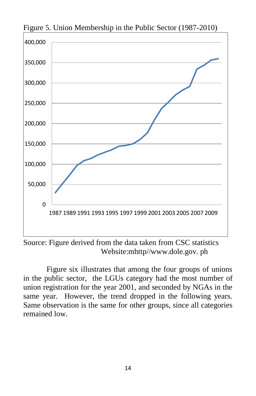

Figure 5. Union Membership in the Public Sector (1987-2010)

Source: Figure derived from the data taken from CSC statistics Website:mhttp//www.dole.gov. ph

Figure six illustrates that among the four groups of unions in the public sector, the LGUs category had the most number of union registration for the year 2001, and seconded by NGAs in the same year. However, the trend dropped in the following years. Same observation is the same for other groups, since all categories remained low.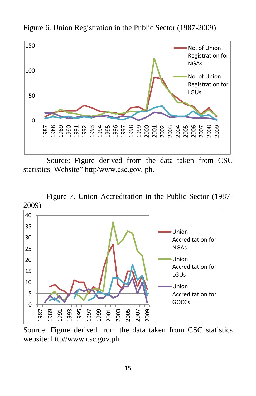

Figure 6. Union Registration in the Public Sector (1987-2009)

Source: Figure derived from the data taken from CSC statistics Website" http/www.csc.gov. ph.



Figure 7. Union Accreditation in the Public Sector (1987-

Source: Figure derived from the data taken from CSC statistics website: http//www.csc.gov.ph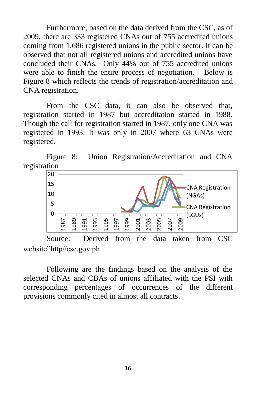Furthermore, based on the data derived from the CSC, as of 2009, there are 333 registered CNAs out of 755 accredited unions coming from 1,686 registered unions in the public sector. It can be observed that not all registered unions and accredited unions have concluded their CNAs. Only 44% out of 755 accredited unions were able to finish the entire process of negotiation. Below is Figure 8 which reflects the trends of registration/accreditation and CNA registration.

From the CSC data, it can also be observed that, registration started in 1987 but accreditation started in 1988. Though the call for registration started in 1987, only one CNA was registered in 1993. It was only in 2007 where 63 CNAs were registered.

Figure 8: Union Registration/Accreditation and CNA registration



Source: Derived from the data taken from CSC website"http//csc.gov.ph

Following are the findings based on the analysis of the selected CNAs and CBAs of unions affiliated with the PSI with corresponding percentages of occurrences of the different provisions commonly cited in almost all contracts.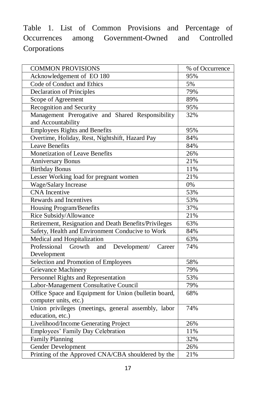Table 1. List of Common Provisions and Percentage of Occurrences among Government-Owned and Controlled **Corporations** 

| <b>COMMON PROVISIONS</b>                                                       | % of Occurrence  |
|--------------------------------------------------------------------------------|------------------|
| Acknowledgement of EO 180                                                      | 95%              |
| Code of Conduct and Ethics                                                     | 5%               |
| <b>Declaration of Principles</b>                                               | 79%              |
| Scope of Agreement                                                             | 89%              |
| Recognition and Security                                                       | 95%              |
| Management Prerogative and Shared Responsibility<br>and Accountability         | 32%              |
| <b>Employees Rights and Benefits</b>                                           | 95%              |
| Overtime, Holiday, Rest, Nightshift, Hazard Pay                                | 84%              |
| <b>Leave Benefits</b>                                                          | 84%              |
| <b>Monetization of Leave Benefits</b>                                          | 26%              |
| <b>Anniversary Bonus</b>                                                       | 21%              |
| <b>Birthday Bonus</b>                                                          | 11%              |
| Lesser Working load for pregnant women                                         | 21%              |
| <b>Wage/Salary Increase</b>                                                    | $\overline{0\%}$ |
| <b>CNA</b> Incentive                                                           | 53%              |
| Rewards and Incentives                                                         | 53%              |
| Housing Program/Benefits                                                       | 37%              |
| Rice Subsidy/Allowance                                                         | 21%              |
| Retirement, Resignation and Death Benefits/Privileges                          | 63%              |
| Safety, Health and Environment Conducive to Work                               | 84%              |
| Medical and Hospitalization                                                    | 63%              |
| Professional<br>Growth<br>Development/<br>and<br>Career<br>Development         | 74%              |
| Selection and Promotion of Employees                                           | 58%              |
| Grievance Machinery                                                            | 79%              |
| Personnel Rights and Representation                                            | 53%              |
| Labor-Management Consultative Council                                          | 79%              |
| Office Space and Equipment for Union (bulletin board,<br>computer units, etc.) | 68%              |
| Union privileges (meetings, general assembly, labor<br>education, etc.)        | 74%              |
| Livelihood/Income Generating Project                                           | 26%              |
| Employees' Family Day Celebration                                              | 11%              |
| Family Planning                                                                | 32%              |
| Gender Development                                                             | 26%              |
| Printing of the Approved CNA/CBA shouldered by the                             | 21%              |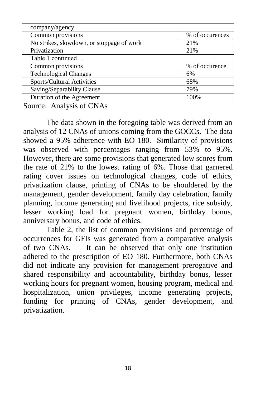| company/agency                            |                 |
|-------------------------------------------|-----------------|
| Common provisions                         | % of occurences |
| No strikes, slowdown, or stoppage of work | 21%             |
| Privatization                             | 21%             |
| Table 1 continued                         |                 |
| Common provisions                         | % of occurence  |
| <b>Technological Changes</b>              | 6%              |
| Sports/Cultural Activities                | 68%             |
| Saving/Separability Clause                | 79%             |
| Duration of the Agreement                 | 100%            |

Source: Analysis of CNAs

The data shown in the foregoing table was derived from an analysis of 12 CNAs of unions coming from the GOCCs. The data showed a 95% adherence with EO 180. Similarity of provisions was observed with percentages ranging from 53% to 95%. However, there are some provisions that generated low scores from the rate of 21% to the lowest rating of 6%. Those that garnered rating cover issues on technological changes, code of ethics, privatization clause, printing of CNAs to be shouldered by the management, gender development, family day celebration, family planning, income generating and livelihood projects, rice subsidy, lesser working load for pregnant women, birthday bonus, anniversary bonus, and code of ethics.

Table 2, the list of common provisions and percentage of occurrences for GFIs was generated from a comparative analysis of two CNAs. It can be observed that only one institution adhered to the prescription of EO 180. Furthermore, both CNAs did not indicate any provision for management prerogative and shared responsibility and accountability, birthday bonus, lesser working hours for pregnant women, housing program, medical and hospitalization, union privileges, income generating projects, funding for printing of CNAs, gender development, and privatization.

18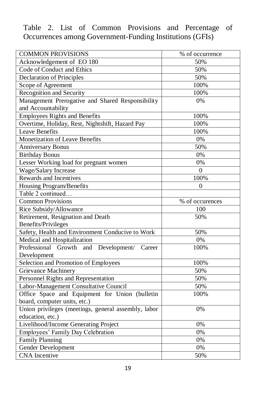Table 2. List of Common Provisions and Percentage of Occurrences among Government-Funding Institutions (GFIs)

| <b>COMMON PROVISIONS</b>                            | % of occurrence |
|-----------------------------------------------------|-----------------|
| Acknowledgement of EO 180                           | 50%             |
| Code of Conduct and Ethics                          | 50%             |
| Declaration of Principles                           | 50%             |
| Scope of Agreement                                  | 100%            |
| Recognition and Security                            | 100%            |
| Management Prerogative and Shared Responsibility    | 0%              |
| and Accountability                                  |                 |
| <b>Employees Rights and Benefits</b>                | 100%            |
| Overtime, Holiday, Rest, Nightshift, Hazard Pay     | 100%            |
| <b>Leave Benefits</b>                               | 100%            |
| <b>Monetization of Leave Benefits</b>               | $0\%$           |
| <b>Anniversary Bonus</b>                            | 50%             |
| <b>Birthday Bonus</b>                               | $0\%$           |
| Lesser Working load for pregnant women              | 0%              |
| Wage/Salary Increase                                | $\Omega$        |
| Rewards and Incentives                              | 100%            |
| Housing Program/Benefits                            | $\Omega$        |
| Table 2 continued                                   |                 |
| <b>Common Provisions</b>                            | % of occurences |
| Rice Subsidy/Allowance                              | 100             |
| Retirement, Resignation and Death                   | 50%             |
| Benefits/Privileges                                 |                 |
| Safety, Health and Environment Conducive to Work    | 50%             |
| Medical and Hospitalization                         | 0%              |
| Professional Growth and Development/ Career         | 100%            |
| Development                                         |                 |
| Selection and Promotion of Employees                | 100%            |
| Grievance Machinery                                 | 50%             |
| Personnel Rights and Representation                 | 50%             |
| Labor-Management Consultative Council               | 50%             |
| Office Space and Equipment for Union (bulletin      | 100%            |
| board, computer units, etc.)                        |                 |
| Union privileges (meetings, general assembly, labor | 0%              |
| education, etc.)                                    |                 |
| Livelihood/Income Generating Project                | 0%              |
| Employees' Family Day Celebration                   | 0%              |
| <b>Family Planning</b>                              | 0%              |
| Gender Development                                  | 0%              |
| <b>CNA</b> Incentive                                | 50%             |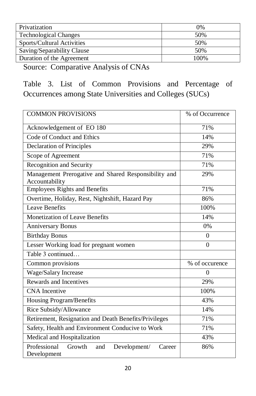| Privatization                | 0%   |
|------------------------------|------|
| <b>Technological Changes</b> | 50%  |
| Sports/Cultural Activities   | 50%  |
| Saving/Separability Clause   | 50%  |
| Duration of the Agreement    | 100% |

Source: Comparative Analysis of CNAs

Table 3. List of Common Provisions and Percentage of Occurrences among State Universities and Colleges (SUCs)

| <b>COMMON PROVISIONS</b>                                               | % of Occurrence |
|------------------------------------------------------------------------|-----------------|
| Acknowledgement of EO 180                                              | 71%             |
| Code of Conduct and Ethics                                             | 14%             |
| <b>Declaration of Principles</b>                                       | 29%             |
| Scope of Agreement                                                     | 71%             |
| Recognition and Security                                               | 71%             |
| Management Prerogative and Shared Responsibility and<br>Accountability | 29%             |
| <b>Employees Rights and Benefits</b>                                   | 71%             |
| Overtime, Holiday, Rest, Nightshift, Hazard Pay                        | 86%             |
| <b>Leave Benefits</b>                                                  | 100%            |
| <b>Monetization of Leave Benefits</b>                                  | 14%             |
| <b>Anniversary Bonus</b>                                               | 0%              |
| <b>Birthday Bonus</b>                                                  | $\Omega$        |
| Lesser Working load for pregnant women                                 | $\Omega$        |
| Table 3 continued                                                      |                 |
| Common provisions                                                      | % of occurence  |
| Wage/Salary Increase                                                   | $\Omega$        |
| Rewards and Incentives                                                 | 29%             |
| <b>CNA</b> Incentive                                                   | 100%            |
| Housing Program/Benefits                                               | 43%             |
| Rice Subsidy/Allowance                                                 | 14%             |
| Retirement, Resignation and Death Benefits/Privileges                  | 71%             |
| Safety, Health and Environment Conducive to Work                       | 71%             |
| Medical and Hospitalization                                            | 43%             |
| Professional<br>Growth<br>and<br>Development/<br>Career<br>Development | 86%             |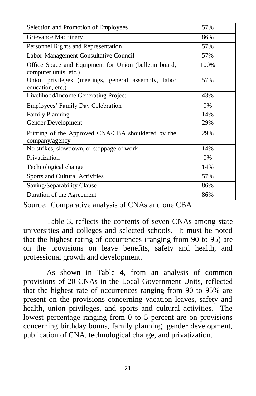| Selection and Promotion of Employees                                           | 57%  |
|--------------------------------------------------------------------------------|------|
| Grievance Machinery                                                            | 86%  |
| Personnel Rights and Representation                                            | 57%  |
| Labor-Management Consultative Council                                          | 57%  |
| Office Space and Equipment for Union (bulletin board,<br>computer units, etc.) | 100% |
| Union privileges (meetings, general assembly, labor<br>education, etc.)        | 57%  |
| Livelihood/Income Generating Project                                           | 43%  |
| Employees' Family Day Celebration                                              | 0%   |
| <b>Family Planning</b>                                                         | 14%  |
| Gender Development                                                             | 29%  |
| Printing of the Approved CNA/CBA shouldered by the<br>company/agency           | 29%  |
| No strikes, slowdown, or stoppage of work                                      | 14%  |
| Privatization                                                                  | 0%   |
| Technological change                                                           | 14%  |
| Sports and Cultural Activities                                                 | 57%  |
| Saving/Separability Clause                                                     | 86%  |
| Duration of the Agreement                                                      | 86%  |

Source: Comparative analysis of CNAs and one CBA

Table 3, reflects the contents of seven CNAs among state universities and colleges and selected schools. It must be noted that the highest rating of occurrences (ranging from 90 to 95) are on the provisions on leave benefits, safety and health, and professional growth and development.

As shown in Table 4, from an analysis of common provisions of 20 CNAs in the Local Government Units, reflected that the highest rate of occurrences ranging from 90 to 95% are present on the provisions concerning vacation leaves, safety and health, union privileges, and sports and cultural activities. The lowest percentage ranging from 0 to 5 percent are on provisions concerning birthday bonus, family planning, gender development, publication of CNA, technological change, and privatization.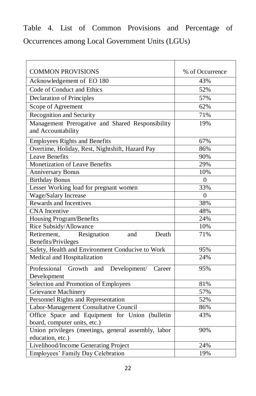Table 4. List of Common Provisions and Percentage of Occurrences among Local Government Units (LGUs)

| <b>COMMON PROVISIONS</b>                                                       | % of Occurrence |
|--------------------------------------------------------------------------------|-----------------|
| Acknowledgement of EO 180                                                      | 43%             |
| Code of Conduct and Ethics                                                     | 52%             |
| <b>Declaration of Principles</b>                                               | 57%             |
| Scope of Agreement                                                             | 62%             |
| Recognition and Security                                                       | 71%             |
| Management Prerogative and Shared Responsibility<br>and Accountability         | 19%             |
| <b>Employees Rights and Benefits</b>                                           | 67%             |
| Overtime, Holiday, Rest, Nightshift, Hazard Pay                                | 86%             |
| <b>Leave Benefits</b>                                                          | 90%             |
| <b>Monetization of Leave Benefits</b>                                          | 29%             |
| <b>Anniversary Bonus</b>                                                       | 10%             |
| <b>Birthday Bonus</b>                                                          | $\overline{0}$  |
| Lesser Working load for pregnant women                                         | 33%             |
| Wage/Salary Increase                                                           | $\mathbf{0}$    |
| Rewards and Incentives                                                         | 38%             |
| <b>CNA</b> Incentive                                                           | 48%             |
| Housing Program/Benefits                                                       | 24%             |
| Rice Subsidy/Allowance                                                         | 10%             |
| Resignation<br>Death<br>Retirement,<br>and<br>Benefits/Privileges              | 71%             |
| Safety, Health and Environment Conducive to Work                               | 95%             |
| Medical and Hospitalization                                                    | 24%             |
| Professional<br>Growth and<br>Development/<br>Career<br>Development            | 95%             |
| Selection and Promotion of Employees                                           | 81%             |
| <b>Grievance Machinery</b>                                                     | 57%             |
| Personnel Rights and Representation                                            | 52%             |
| Labor-Management Consultative Council                                          | 86%             |
| Office Space and Equipment for Union (bulletin<br>board, computer units, etc.) | 43%             |
| Union privileges (meetings, general assembly, labor<br>education, etc.)        | 90%             |
| Livelihood/Income Generating Project                                           | 24%             |
| Employees' Family Day Celebration                                              | 19%             |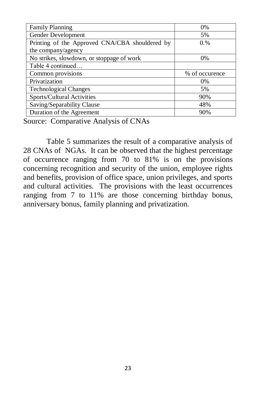| <b>Family Planning</b>                         | 0%             |
|------------------------------------------------|----------------|
| Gender Development                             | 5%             |
| Printing of the Approved CNA/CBA shouldered by | 0.%            |
| the company/agency                             |                |
| No strikes, slowdown, or stoppage of work      | 0%             |
| Table 4 continued                              |                |
| Common provisions                              | % of occurence |
| Privatization                                  | $0\%$          |
| <b>Technological Changes</b>                   | 5%             |
| Sports/Cultural Activities                     | 90%            |
| Saving/Separability Clause                     | 48%            |
| Duration of the Agreement                      | 90%            |

Source: Comparative Analysis of CNAs

Table 5 summarizes the result of a comparative analysis of 28 CNAs of NGAs. It can be observed that the highest percentage of occurrence ranging from 70 to 81% is on the provisions concerning recognition and security of the union, employee rights and benefits, provision of office space, union privileges, and sports and cultural activities. The provisions with the least occurrences ranging from 7 to 11% are those concerning birthday bonus, anniversary bonus, family planning and privatization.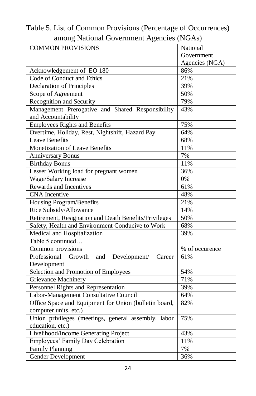| among ivanonal Obvertiment Agencies (IVOAS)             |                |  |
|---------------------------------------------------------|----------------|--|
| <b>COMMON PROVISIONS</b>                                | National       |  |
|                                                         | Government     |  |
|                                                         | Agencies (NGA) |  |
| Acknowledgement of EO 180                               | 86%            |  |
| Code of Conduct and Ethics                              | 21%            |  |
| <b>Declaration of Principles</b>                        | 39%            |  |
| Scope of Agreement                                      | 50%            |  |
| Recognition and Security                                | 79%            |  |
| Management Prerogative and Shared Responsibility        | 43%            |  |
| and Accountability                                      |                |  |
| <b>Employees Rights and Benefits</b>                    | 75%            |  |
| Overtime, Holiday, Rest, Nightshift, Hazard Pay         | 64%            |  |
| <b>Leave Benefits</b>                                   | 68%            |  |
| Monetization of Leave Benefits                          | 11%            |  |
| <b>Anniversary Bonus</b>                                | 7%             |  |
| <b>Birthday Bonus</b>                                   | 11%            |  |
| Lesser Working load for pregnant women                  | 36%            |  |
| Wage/Salary Increase                                    | $0\%$          |  |
| Rewards and Incentives                                  | 61%            |  |
| <b>CNA</b> Incentive                                    | 48%            |  |
| Housing Program/Benefits                                | 21%            |  |
| Rice Subsidy/Allowance                                  | 14%            |  |
| Retirement, Resignation and Death Benefits/Privileges   | 50%            |  |
| Safety, Health and Environment Conducive to Work        | 68%            |  |
| Medical and Hospitalization                             | 39%            |  |
| Table 5 continued                                       |                |  |
| Common provisions                                       | % of occurence |  |
| Professional<br>Development/<br>Growth<br>and<br>Career | 61%            |  |
| Development                                             |                |  |
| Selection and Promotion of Employees                    | 54%            |  |
| <b>Grievance Machinery</b>                              | 71%            |  |
| Personnel Rights and Representation                     | 39%            |  |
| Labor-Management Consultative Council                   | 64%            |  |
| Office Space and Equipment for Union (bulletin board,   | 82%            |  |
| computer units, etc.)                                   |                |  |
| Union privileges (meetings, general assembly, labor     | 75%            |  |
| education, etc.)                                        |                |  |
| Livelihood/Income Generating Project                    | 43%            |  |
| Employees' Family Day Celebration                       | 11%            |  |
| Family Planning                                         | 7%             |  |
| Gender Development                                      | 36%            |  |

Table 5. List of Common Provisions (Percentage of Occurrences) among National Government Agencies (NGAs)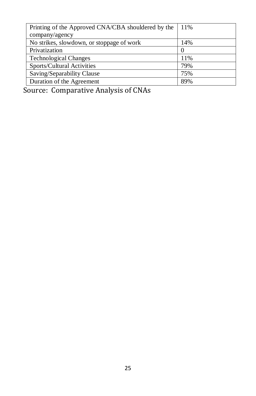| Printing of the Approved CNA/CBA shouldered by the | 11%      |
|----------------------------------------------------|----------|
| company/agency                                     |          |
| No strikes, slowdown, or stoppage of work          | 14%      |
| Privatization                                      | $\theta$ |
| <b>Technological Changes</b>                       | 11%      |
| Sports/Cultural Activities                         | 79%      |
| Saving/Separability Clause                         | 75%      |
| Duration of the Agreement                          | 89%      |

Source: Comparative Analysis of CNAs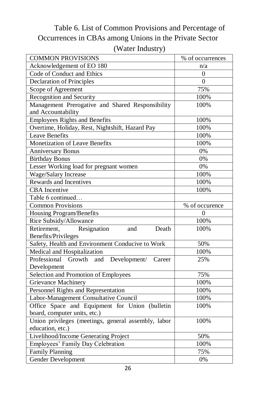#### Table 6. List of Common Provisions and Percentage of Occurrences in CBAs among Unions in the Private Sector (Water Industry)

| <b>COMMON PROVISIONS</b>                             | % of occurrences |
|------------------------------------------------------|------------------|
| Acknowledgement of EO 180                            | n/a              |
| Code of Conduct and Ethics                           | 0                |
| <b>Declaration of Principles</b>                     | $\theta$         |
| Scope of Agreement                                   | 75%              |
| Recognition and Security                             | 100%             |
| Management Prerogative and Shared Responsibility     | 100%             |
| and Accountability                                   |                  |
| <b>Employees Rights and Benefits</b>                 | 100%             |
| Overtime, Holiday, Rest, Nightshift, Hazard Pay      | 100%             |
| <b>Leave Benefits</b>                                | 100%             |
| Monetization of Leave Benefits                       | 100%             |
| <b>Anniversary Bonus</b>                             | $0\%$            |
| <b>Birthday Bonus</b>                                | 0%               |
| Lesser Working load for pregnant women               | 0%               |
| Wage/Salary Increase                                 | 100%             |
| Rewards and Incentives                               | 100%             |
| <b>CBA</b> Incentive                                 | 100%             |
| Table 6 continued                                    |                  |
| <b>Common Provisions</b>                             | % of occurence   |
| Housing Program/Benefits                             | $\theta$         |
| Rice Subsidy/Allowance                               | 100%             |
| Resignation<br>Retirement,<br>Death<br>and           | 100%             |
| <b>Benefits/Privileges</b>                           |                  |
| Safety, Health and Environment Conducive to Work     | 50%              |
| Medical and Hospitalization                          | 100%             |
| Professional Growth<br>and<br>Development/<br>Career | 25%              |
| Development                                          |                  |
| Selection and Promotion of Employees                 | 75%              |
| Grievance Machinery                                  | 100%             |
| Personnel Rights and Representation                  | 100%             |
| Labor-Management Consultative Council                | 100%             |
| Office Space and Equipment for Union (bulletin       | 100%             |
| board, computer units, etc.)                         |                  |
| Union privileges (meetings, general assembly, labor  | 100%             |
| education, etc.)                                     |                  |
| Livelihood/Income Generating Project                 | 50%              |
| Employees' Family Day Celebration                    | 100%             |
| <b>Family Planning</b>                               | 75%              |
| Gender Development                                   | 0%               |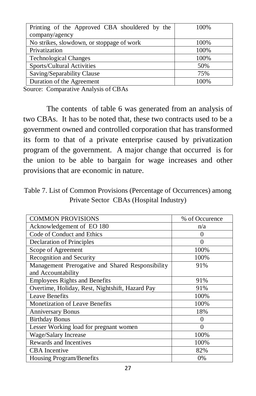| Printing of the Approved CBA shouldered by the | 100% |
|------------------------------------------------|------|
| company/agency                                 |      |
| No strikes, slowdown, or stoppage of work      | 100% |
| Privatization                                  | 100% |
| <b>Technological Changes</b>                   | 100% |
| Sports/Cultural Activities                     | 50%  |
| Saving/Separability Clause                     | 75%  |
| Duration of the Agreement                      | 100% |

Source: Comparative Analysis of CBAs

The contents of table 6 was generated from an analysis of two CBAs. It has to be noted that, these two contracts used to be a government owned and controlled corporation that has transformed its form to that of a private enterprise caused by privatization program of the government. A major change that occurred is for the union to be able to bargain for wage increases and other provisions that are economic in nature.

Table 7. List of Common Provisions (Percentage of Occurrences) among Private Sector CBAs (Hospital Industry)

| <b>COMMON PROVISIONS</b>                         | % of Occurence |
|--------------------------------------------------|----------------|
| Acknowledgement of EO 180                        | n/a            |
| Code of Conduct and Ethics                       | $\theta$       |
| Declaration of Principles                        | 0              |
| Scope of Agreement                               | 100%           |
| Recognition and Security                         | 100%           |
| Management Prerogative and Shared Responsibility | 91%            |
| and Accountability                               |                |
| <b>Employees Rights and Benefits</b>             | 91%            |
| Overtime, Holiday, Rest, Nightshift, Hazard Pay  | 91%            |
| Leave Benefits                                   | 100%           |
| <b>Monetization of Leave Benefits</b>            | 100%           |
| <b>Anniversary Bonus</b>                         | 18%            |
| <b>Birthday Bonus</b>                            | 0              |
| Lesser Working load for pregnant women           | ∩              |
| Wage/Salary Increase                             | 100%           |
| Rewards and Incentives                           | 100%           |
| <b>CBA</b> Incentive                             | 82%            |
| Housing Program/Benefits                         | $0\%$          |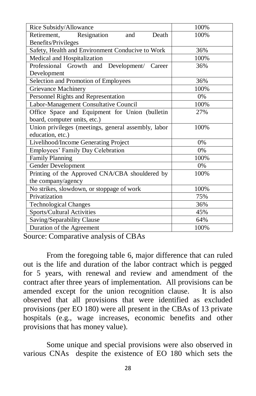| Rice Subsidy/Allowance                              | 100%  |  |
|-----------------------------------------------------|-------|--|
| Resignation<br>Retirement.<br>Death<br>and          | 100%  |  |
| Benefits/Privileges                                 |       |  |
| Safety, Health and Environment Conducive to Work    | 36%   |  |
| Medical and Hospitalization                         | 100%  |  |
| Professional Growth and Development/ Career         | 36%   |  |
| Development                                         |       |  |
| Selection and Promotion of Employees                | 36%   |  |
| <b>Grievance Machinery</b>                          | 100%  |  |
| Personnel Rights and Representation                 | 0%    |  |
| Labor-Management Consultative Council               | 100%  |  |
| Office Space and Equipment for Union (bulletin      | 27%   |  |
| board, computer units, etc.)                        |       |  |
| Union privileges (meetings, general assembly, labor | 100%  |  |
| education, etc.)                                    |       |  |
| Livelihood/Income Generating Project                | 0%    |  |
| Employees' Family Day Celebration                   | $0\%$ |  |
| <b>Family Planning</b>                              | 100%  |  |
| Gender Development                                  | $0\%$ |  |
| Printing of the Approved CNA/CBA shouldered by      | 100%  |  |
| the company/agency                                  |       |  |
| No strikes, slowdown, or stoppage of work           | 100%  |  |
| Privatization                                       | 75%   |  |
| <b>Technological Changes</b>                        | 36%   |  |
| Sports/Cultural Activities                          | 45%   |  |
| Saving/Separability Clause                          | 64%   |  |
| Duration of the Agreement                           | 100%  |  |

Source: Comparative analysis of CBAs

From the foregoing table 6, major difference that can ruled out is the life and duration of the labor contract which is pegged for 5 years, with renewal and review and amendment of the contract after three years of implementation. All provisions can be amended except for the union recognition clause. It is also observed that all provisions that were identified as excluded provisions (per EO 180) were all present in the CBAs of 13 private hospitals (e.g., wage increases, economic benefits and other provisions that has money value).

Some unique and special provisions were also observed in various CNAs despite the existence of EO 180 which sets the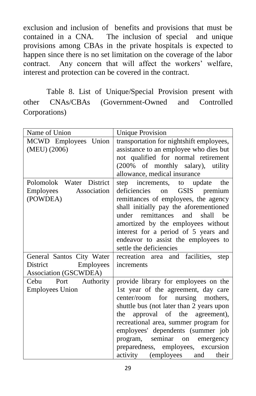exclusion and inclusion of benefits and provisions that must be contained in a CNA. The inclusion of special and unique provisions among CBAs in the private hospitals is expected to happen since there is no set limitation on the coverage of the labor contract. Any concern that will affect the workers' welfare, interest and protection can be covered in the contract.

Table 8. List of Unique/Special Provision present with other CNAs/CBAs (Government-Owned and Controlled Corporations)

| Name of Union                                                               | <b>Unique Provision</b>                                                                                                                                                                                                                                                                                                                                                                          |
|-----------------------------------------------------------------------------|--------------------------------------------------------------------------------------------------------------------------------------------------------------------------------------------------------------------------------------------------------------------------------------------------------------------------------------------------------------------------------------------------|
| MCWD Employees Union<br>(MEU) (2006)                                        | transportation for nightshift employees,<br>assistance to an employee who dies but<br>not qualified for normal retirement<br>(200% of monthly salary), utility<br>allowance, medical insurance                                                                                                                                                                                                   |
| Polomolok Water District<br>Association<br>Employees<br>(POWDEA)            | step increments, to update<br>the<br>deficiencies<br>GSIS<br>on<br>premium<br>remittances of employees, the agency<br>shall initially pay the aforementioned<br>remittances<br>and<br>shall<br>he<br>under<br>amortized by the employees without<br>interest for a period of 5 years and<br>endeavor to assist the employees to<br>settle the deficiencies                                       |
| General Santos City Water<br>District<br>Employees<br>Association (GSCWDEA) | recreation area and facilities, step<br>increments                                                                                                                                                                                                                                                                                                                                               |
| Port Authority<br>Cebu<br><b>Employees Union</b>                            | provide library for employees on the<br>1st year of the agreement, day care<br>center/room for nursing mothers,<br>shuttle bus (not later than 2 years upon<br>approval of the agreement),<br>the<br>recreational area, summer program for<br>employees' dependents (summer job<br>seminar<br>program,<br>on emergency<br>preparedness, employees, excursion<br>activity (employees and<br>their |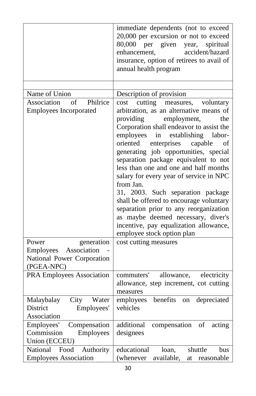|                                                                        | immediate dependents (not to exceed<br>20,000 per excursion or not to exceed<br>80,000 per given year,<br>spiritual<br>accident/hazard<br>enhancement,<br>insurance, option of retirees to avail of<br>annual health program                                                                                                                                                                                                                                                                                                                                                                                                                                                        |
|------------------------------------------------------------------------|-------------------------------------------------------------------------------------------------------------------------------------------------------------------------------------------------------------------------------------------------------------------------------------------------------------------------------------------------------------------------------------------------------------------------------------------------------------------------------------------------------------------------------------------------------------------------------------------------------------------------------------------------------------------------------------|
|                                                                        |                                                                                                                                                                                                                                                                                                                                                                                                                                                                                                                                                                                                                                                                                     |
| Name of Union                                                          | Description of provision                                                                                                                                                                                                                                                                                                                                                                                                                                                                                                                                                                                                                                                            |
| Association<br>Philrice<br>of<br><b>Employees Incorporated</b>         | cutting measures,<br>voluntary<br>cost<br>arbitration, as an alternative means of<br>providing<br>employment,<br>the<br>Corporation shall endeavor to assist the<br>employees<br>in<br>establishing<br>labor-<br>oriented<br>enterprises<br>capable<br>οt<br>generating job opportunities, special<br>separation package equivalent to not<br>less than one and one and half months<br>salary for every year of service in NPC<br>from Jan.<br>31, 2003. Such separation package<br>shall be offered to encourage voluntary<br>separation prior to any reorganization<br>as maybe deemed necessary, diver's<br>incentive, pay equalization allowance,<br>employee stock option plan |
| Power<br>generation                                                    | cost cutting measures                                                                                                                                                                                                                                                                                                                                                                                                                                                                                                                                                                                                                                                               |
| Employees Association                                                  |                                                                                                                                                                                                                                                                                                                                                                                                                                                                                                                                                                                                                                                                                     |
| National Power Corporation<br>(PGEA-NPC)                               |                                                                                                                                                                                                                                                                                                                                                                                                                                                                                                                                                                                                                                                                                     |
| PRA Employees Association                                              | allowance,<br>commuters'<br>electricity<br>allowance, step increment, cot cutting<br>measures                                                                                                                                                                                                                                                                                                                                                                                                                                                                                                                                                                                       |
| Malaybalay<br>City<br>Water                                            | benefits on<br>depreciated<br>employees                                                                                                                                                                                                                                                                                                                                                                                                                                                                                                                                                                                                                                             |
| District<br>Employees'                                                 | vehicles                                                                                                                                                                                                                                                                                                                                                                                                                                                                                                                                                                                                                                                                            |
| Association                                                            |                                                                                                                                                                                                                                                                                                                                                                                                                                                                                                                                                                                                                                                                                     |
| Employees'<br>Compensation<br>Commission<br>Employees<br>Union (ECCEU) | additional<br>compensation<br>of acting<br>designees                                                                                                                                                                                                                                                                                                                                                                                                                                                                                                                                                                                                                                |
| National<br>Food<br>Authority                                          | educational<br>shuttle<br>bus<br>loan,                                                                                                                                                                                                                                                                                                                                                                                                                                                                                                                                                                                                                                              |
| <b>Employees Association</b>                                           | available,<br>(whenever<br>reasonable<br>at                                                                                                                                                                                                                                                                                                                                                                                                                                                                                                                                                                                                                                         |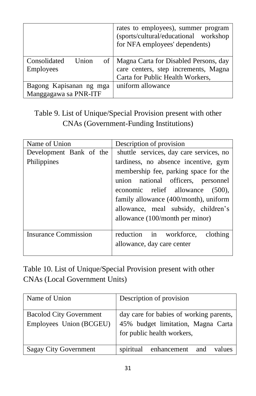|                                            | rates to employees), summer program<br>(sports/cultural/educational workshop<br>for NFA employees' dependents) |
|--------------------------------------------|----------------------------------------------------------------------------------------------------------------|
| Consolidated<br>Union<br>of 1<br>Employees | Magna Carta for Disabled Persons, day<br>care centers, step increments, Magna                                  |
|                                            |                                                                                                                |
|                                            | Carta for Public Health Workers,                                                                               |
| Bagong Kapisanan ng mga                    | uniform allowance                                                                                              |
| Manggagawa sa PNR-ITF                      |                                                                                                                |

Table 9. List of Unique/Special Provision present with other CNAs (Government-Funding Institutions)

| Name of Union               | Description of provision                                                                                                                                                                                                                                                   |
|-----------------------------|----------------------------------------------------------------------------------------------------------------------------------------------------------------------------------------------------------------------------------------------------------------------------|
| Development Bank of the     | shuttle services, day care services, no                                                                                                                                                                                                                                    |
| Philippines                 | tardiness, no absence incentive, gym<br>membership fee, parking space for the<br>union national officers, personnel<br>economic relief allowance (500),<br>family allowance (400/month), uniform<br>allowance, meal subsidy, children's<br>allowance (100/month per minor) |
| <b>Insurance Commission</b> | reduction in workforce,<br>clothing<br>allowance, day care center                                                                                                                                                                                                          |

Table 10. List of Unique/Special Provision present with other CNAs (Local Government Units)

| Name of Union                                             | Description of provision                                                                                    |
|-----------------------------------------------------------|-------------------------------------------------------------------------------------------------------------|
| <b>Bacolod City Government</b><br>Employees Union (BCGEU) | day care for babies of working parents,<br>45% budget limitation, Magna Carta<br>for public health workers, |
| <b>Sagay City Government</b>                              | spiritual<br>enhancement<br>values<br>and                                                                   |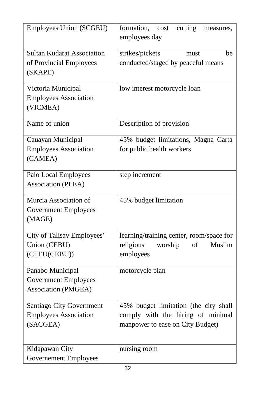| Employees Union (SCGEU)                                                 | formation,<br>cutting<br>cost<br>measures,<br>employees day                                                    |
|-------------------------------------------------------------------------|----------------------------------------------------------------------------------------------------------------|
| <b>Sultan Kudarat Association</b><br>of Provincial Employees<br>(SKAPE) | strikes/pickets<br>be<br>must<br>conducted/staged by peaceful means                                            |
| Victoria Municipal<br><b>Employees Association</b><br>(VICMEA)          | low interest motorcycle loan                                                                                   |
| Name of union                                                           | Description of provision                                                                                       |
| Cauayan Municipal<br><b>Employees Association</b><br>(CAMEA)            | 45% budget limitations, Magna Carta<br>for public health workers                                               |
| Palo Local Employees<br>Association (PLEA)                              | step increment                                                                                                 |
| Murcia Association of<br><b>Government Employees</b><br>(MAGE)          | 45% budget limitation                                                                                          |
| City of Talisay Employees'<br>Union (CEBU)<br>(CTEU(CEBU))              | learning/training center, room/space for<br>religious<br>worship<br>of<br>Muslim<br>employees                  |
| Panabo Municipal<br><b>Government Employees</b><br>Association (PMGEA)  | motorcycle plan                                                                                                |
| Santiago City Government<br><b>Employees Association</b><br>(SACGEA)    | 45% budget limitation (the city shall<br>comply with the hiring of minimal<br>manpower to ease on City Budget) |
| Kidapawan City<br><b>Governement Employees</b>                          | nursing room                                                                                                   |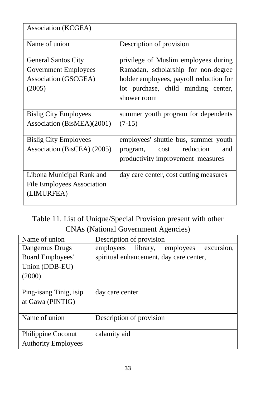| Association (KCGEA)          |                                         |
|------------------------------|-----------------------------------------|
| Name of union                | Description of provision                |
| <b>General Santos City</b>   | privilege of Muslim employees during    |
| Government Employees         | Ramadan, scholarship for non-degree     |
| Association (GSCGEA)         | holder employees, payroll reduction for |
| (2005)                       | lot purchase, child minding center,     |
|                              | shower room                             |
|                              |                                         |
| <b>Bislig City Employees</b> | summer youth program for dependents     |
| Association (BisMEA)(2001)   | $(7-15)$                                |
| <b>Bislig City Employees</b> | employees' shuttle bus, summer youth    |
|                              |                                         |
| Association (BisCEA) (2005)  | cost reduction<br>and<br>program,       |
|                              | productivity improvement measures       |
| Libona Municipal Rank and    | day care center, cost cutting measures  |
| File Employees Association   |                                         |
| (LIMURFEA)                   |                                         |
|                              |                                         |

Table 11. List of Unique/Special Provision present with other CNAs (National Government Agencies)

| Name of union              | Description of provision                      |
|----------------------------|-----------------------------------------------|
| Dangerous Drugs            | employees library,<br>employees<br>excursion, |
| Board Employees'           | spiritual enhancement, day care center,       |
| Union (DDB-EU)             |                                               |
| (2000)                     |                                               |
|                            |                                               |
| Ping-isang Tinig, isip     | day care center                               |
| at Gawa (PINTIG)           |                                               |
|                            |                                               |
| Name of union              | Description of provision                      |
|                            |                                               |
| Philippine Coconut         | calamity aid                                  |
| <b>Authority Employees</b> |                                               |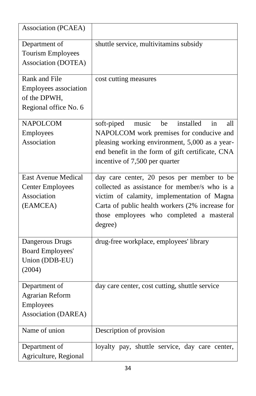| Association (PCAEA)                                                              |                                                                                                                                                                                                                                                      |
|----------------------------------------------------------------------------------|------------------------------------------------------------------------------------------------------------------------------------------------------------------------------------------------------------------------------------------------------|
| Department of<br><b>Tourism Employees</b><br>Association (DOTEA)                 | shuttle service, multivitamins subsidy                                                                                                                                                                                                               |
| Rank and File<br>Employees association<br>of the DPWH,<br>Regional office No. 6  | cost cutting measures                                                                                                                                                                                                                                |
| <b>NAPOLCOM</b><br>Employees<br>Association                                      | installed<br>soft-piped<br>music<br>be<br>in<br>all<br>NAPOLCOM work premises for conducive and<br>pleasing working environment, 5,000 as a year-<br>end benefit in the form of gift certificate, CNA<br>incentive of 7,500 per quarter              |
| <b>East Avenue Medical</b><br><b>Center Employees</b><br>Association<br>(EAMCEA) | day care center, 20 pesos per member to be<br>collected as assistance for member/s who is a<br>victim of calamity, implementation of Magna<br>Carta of public health workers (2% increase for<br>those employees who completed a masteral<br>degree) |
| Dangerous Drugs<br><b>Board Employees'</b><br>Union (DDB-EU)<br>(2004)           | drug-free workplace, employees' library                                                                                                                                                                                                              |
| Department of<br><b>Agrarian Reform</b><br>Employees<br>Association (DAREA)      | day care center, cost cutting, shuttle service                                                                                                                                                                                                       |
| Name of union                                                                    | Description of provision                                                                                                                                                                                                                             |
| Department of<br>Agriculture, Regional                                           | loyalty pay, shuttle service, day care center,                                                                                                                                                                                                       |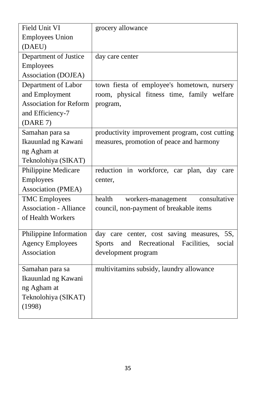| Field Unit VI                 | grocery allowance                                          |
|-------------------------------|------------------------------------------------------------|
| <b>Employees Union</b>        |                                                            |
| (DAEU)                        |                                                            |
| Department of Justice         | day care center                                            |
| Employees                     |                                                            |
| Association (DOJEA)           |                                                            |
| Department of Labor           | town fiesta of employee's hometown, nursery                |
| and Employment                | room, physical fitness time, family welfare                |
| <b>Association for Reform</b> | program,                                                   |
| and Efficiency-7              |                                                            |
| (DARE 7)                      |                                                            |
| Samahan para sa               | productivity improvement program, cost cutting             |
| Ikauunlad ng Kawani           | measures, promotion of peace and harmony                   |
| ng Agham at                   |                                                            |
| Teknolohiya (SIKAT)           |                                                            |
| Philippine Medicare           | reduction in workforce, car plan, day care                 |
| Employees                     | center,                                                    |
| Association (PMEA)            |                                                            |
| <b>TMC</b> Employees          | consultative<br>health<br>workers-management               |
| <b>Association - Alliance</b> | council, non-payment of breakable items                    |
| of Health Workers             |                                                            |
|                               |                                                            |
| Philippine Information        | day care center, cost saving measures, 5S,                 |
| <b>Agency Employees</b>       | Recreational Facilities,<br><b>Sports</b><br>and<br>social |
| Association                   | development program                                        |
| Samahan para sa               | multivitamins subsidy, laundry allowance                   |
| Ikauunlad ng Kawani           |                                                            |
| ng Agham at                   |                                                            |
| Teknolohiya (SIKAT)           |                                                            |
| (1998)                        |                                                            |
|                               |                                                            |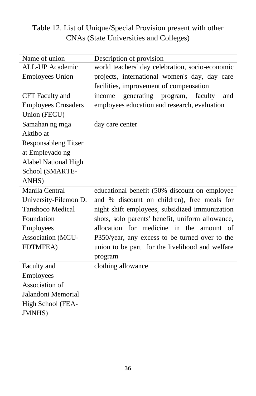#### Table 12. List of Unique/Special Provision present with other CNAs (State Universities and Colleges)

| Name of union               | Description of provision                         |  |  |  |  |
|-----------------------------|--------------------------------------------------|--|--|--|--|
| <b>ALL-UP</b> Academic      | world teachers' day celebration, socio-economic  |  |  |  |  |
| <b>Employees Union</b>      | projects, international women's day, day care    |  |  |  |  |
|                             | facilities, improvement of compensation          |  |  |  |  |
| CFT Faculty and             | generating program,<br>faculty<br>income<br>and  |  |  |  |  |
| <b>Employees Crusaders</b>  | employees education and research, evaluation     |  |  |  |  |
| Union (FECU)                |                                                  |  |  |  |  |
| Samahan ng mga              | day care center                                  |  |  |  |  |
| Aktibo at                   |                                                  |  |  |  |  |
| <b>Responsableng Titser</b> |                                                  |  |  |  |  |
| at Empleyado ng             |                                                  |  |  |  |  |
| <b>Alabel National High</b> |                                                  |  |  |  |  |
| School (SMARTE-             |                                                  |  |  |  |  |
| ANHS)                       |                                                  |  |  |  |  |
| Manila Central              | educational benefit (50% discount on employee    |  |  |  |  |
| University-Filemon D.       | and % discount on children), free meals for      |  |  |  |  |
| <b>Tanshoco Medical</b>     | night shift employees, subsidized immunization   |  |  |  |  |
| Foundation                  | shots, solo parents' benefit, uniform allowance, |  |  |  |  |
| Employees                   | allocation for medicine in the<br>amount of      |  |  |  |  |
| Association (MCU-           | P350/year, any excess to be turned over to the   |  |  |  |  |
| <b>FDTMFEA</b> )            | union to be part for the livelihood and welfare  |  |  |  |  |
|                             | program                                          |  |  |  |  |
| Faculty and                 | clothing allowance                               |  |  |  |  |
| Employees                   |                                                  |  |  |  |  |
| Association of              |                                                  |  |  |  |  |
| Jalandoni Memorial          |                                                  |  |  |  |  |
| High School (FEA-           |                                                  |  |  |  |  |
| <b>JMNHS</b> )              |                                                  |  |  |  |  |
|                             |                                                  |  |  |  |  |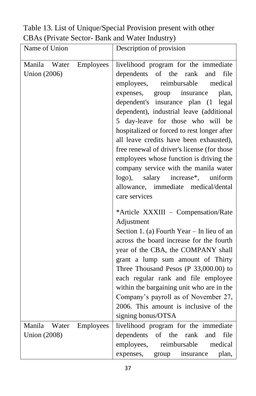Table 13. List of Unique/Special Provision present with other CBAs (Private Sector- Bank and Water Industry)

| Name of Union                                       | Description of provision                                                                                                                                                                                                                                                                                                                                                                                                                                                                                                                                                                                                                                                                                                                                                                                                  |
|-----------------------------------------------------|---------------------------------------------------------------------------------------------------------------------------------------------------------------------------------------------------------------------------------------------------------------------------------------------------------------------------------------------------------------------------------------------------------------------------------------------------------------------------------------------------------------------------------------------------------------------------------------------------------------------------------------------------------------------------------------------------------------------------------------------------------------------------------------------------------------------------|
| Manila<br>Water<br>Employees<br><b>Union</b> (2006) | livelihood program for the immediate<br>of the<br>rank<br>dependents<br>file<br>and<br>reimbursable<br>medical<br>employees,<br>expenses,<br>group insurance<br>plan,<br>dependent's insurance plan (1<br>legal<br>dependent), industrial leave (additional<br>5 day-leave for those who will be<br>hospitalized or forced to rest longer after<br>all leave credits have been exhausted),<br>free renewal of driver's license (for those<br>employees whose function is driving the<br>company service with the manila water<br>$logo$ ),<br>salary<br>increase*, uniform<br>allowance, immediate medical/dental<br>care services<br>*Article XXXIII - Compensation/Rate<br>Adjustment<br>Section 1. (a) Fourth Year $-$ In lieu of an<br>across the board increase for the fourth<br>year of the CBA, the COMPANY shall |
|                                                     | grant a lump sum amount of Thirty<br>Three Thousand Pesos (P 33,000.00) to<br>each regular rank and file employee<br>within the bargaining unit who are in the<br>Company's payroll as of November 27,<br>2006. This amount is inclusive of the<br>signing bonus/OTSA                                                                                                                                                                                                                                                                                                                                                                                                                                                                                                                                                     |
| Manila Water<br>Employees<br><b>Union</b> (2008)    | livelihood program for the immediate<br>of<br>the<br>dependents<br>file<br>rank<br>and<br>employees,<br>reimbursable<br>medical<br>group insurance<br>expenses,<br>plan,                                                                                                                                                                                                                                                                                                                                                                                                                                                                                                                                                                                                                                                  |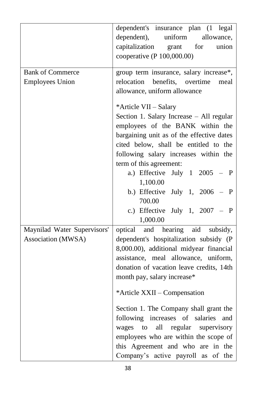|                                                   | dependent's insurance plan (1 legal<br>uniform<br>dependent),<br>allowance,<br>capitalization<br>union<br>for<br>grant<br>cooperative (P 100,000.00)                                                                                                                                                                                                                                                                                                                                                                    |
|---------------------------------------------------|-------------------------------------------------------------------------------------------------------------------------------------------------------------------------------------------------------------------------------------------------------------------------------------------------------------------------------------------------------------------------------------------------------------------------------------------------------------------------------------------------------------------------|
| <b>Bank of Commerce</b><br><b>Employees Union</b> | group term insurance, salary increase*,<br>relocation benefits, overtime<br>meal<br>allowance, uniform allowance                                                                                                                                                                                                                                                                                                                                                                                                        |
|                                                   | *Article VII - Salary<br>Section 1. Salary Increase - All regular<br>employees of the BANK within the<br>bargaining unit as of the effective dates<br>cited below, shall be entitled to the<br>following salary increases within the<br>term of this agreement:<br>a.) Effective July 1 2005 - P<br>1,100.00<br>b.) Effective July 1, 2006 - P<br>700.00<br>c.) Effective July 1, $2007 - P$<br>1,000.00                                                                                                                |
| Maynilad Water Supervisors'<br>Association (MWSA) | optical and hearing aid subsidy,<br>dependent's hospitalization subsidy (P<br>8,000.00), additional midyear financial<br>assistance, meal allowance, uniform,<br>donation of vacation leave credits, 14th<br>month pay, salary increase*<br>*Article XXII – Compensation<br>Section 1. The Company shall grant the<br>following increases of salaries<br>and<br>wages to<br>all regular supervisory<br>employees who are within the scope of<br>this Agreement and who are in the<br>Company's active payroll as of the |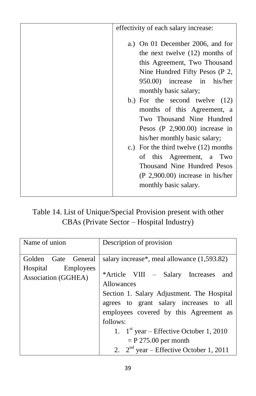| effectivity of each salary increase:                                                                                                                                                                                                                                                                                                                                                                                                                                                                                                     |  |  |
|------------------------------------------------------------------------------------------------------------------------------------------------------------------------------------------------------------------------------------------------------------------------------------------------------------------------------------------------------------------------------------------------------------------------------------------------------------------------------------------------------------------------------------------|--|--|
| a.) On 01 December 2006, and for<br>the next twelve $(12)$ months of<br>this Agreement, Two Thousand<br>Nine Hundred Fifty Pesos (P 2,<br>950.00) increase in his/her<br>monthly basic salary;<br>b.) For the second twelve $(12)$<br>months of this Agreement, a<br>Two Thousand Nine Hundred<br>Pesos $(P\ 2,900.00)$ increase in<br>his/her monthly basic salary;<br>c.) For the third twelve $(12)$ months<br>of this Agreement, a Two<br>Thousand Nine Hundred Pesos<br>$(P 2,900.00)$ increase in his/her<br>monthly basic salary. |  |  |

Table 14. List of Unique/Special Provision present with other CBAs (Private Sector – Hospital Industry)

| Name of union             | Description of provision                      |  |  |  |  |
|---------------------------|-----------------------------------------------|--|--|--|--|
|                           |                                               |  |  |  |  |
|                           |                                               |  |  |  |  |
| Golden<br>General<br>Gate | salary increase*, meal allowance $(1,593.82)$ |  |  |  |  |
| Employees<br>Hospital     |                                               |  |  |  |  |
| Association (GGHEA)       | *Article VIII – Salary Increases<br>and       |  |  |  |  |
|                           | Allowances                                    |  |  |  |  |
|                           | Section 1. Salary Adjustment. The Hospital    |  |  |  |  |
|                           | agrees to grant salary increases to all       |  |  |  |  |
|                           | employees covered by this Agreement as        |  |  |  |  |
|                           | follows:                                      |  |  |  |  |
|                           | 1. $1^{st}$ year – Effective October 1, 2010  |  |  |  |  |
|                           | $=$ P 275.00 per month                        |  |  |  |  |
|                           | 2. $2nd$ year – Effective October 1, 2011     |  |  |  |  |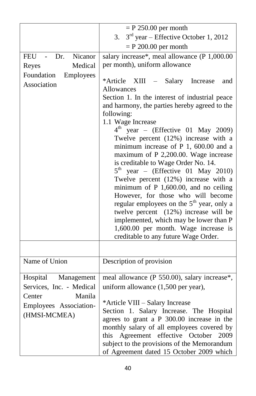|                                        | $=$ P 250.00 per month                                                                                                                                                                                                                                                                                                                                                                                                                                                                                                                                                                                                                                                                                                                                                               |  |  |  |  |
|----------------------------------------|--------------------------------------------------------------------------------------------------------------------------------------------------------------------------------------------------------------------------------------------------------------------------------------------------------------------------------------------------------------------------------------------------------------------------------------------------------------------------------------------------------------------------------------------------------------------------------------------------------------------------------------------------------------------------------------------------------------------------------------------------------------------------------------|--|--|--|--|
|                                        | $3rd$ year – Effective October 1, 2012<br>3.                                                                                                                                                                                                                                                                                                                                                                                                                                                                                                                                                                                                                                                                                                                                         |  |  |  |  |
|                                        | $=$ P 200.00 per month                                                                                                                                                                                                                                                                                                                                                                                                                                                                                                                                                                                                                                                                                                                                                               |  |  |  |  |
| Nicanor<br>FEU -<br>Dr.                | salary increase*, meal allowance (P 1,000.00                                                                                                                                                                                                                                                                                                                                                                                                                                                                                                                                                                                                                                                                                                                                         |  |  |  |  |
| Medical<br>Reyes                       | per month), uniform allowance                                                                                                                                                                                                                                                                                                                                                                                                                                                                                                                                                                                                                                                                                                                                                        |  |  |  |  |
| Foundation<br>Employees<br>Association | *Article<br>XIII<br>- Salary Increase<br>and<br>Allowances<br>Section 1. In the interest of industrial peace<br>and harmony, the parties hereby agreed to the<br>following:<br>1.1 Wage Increase<br>$4^{\rm th}$<br>year - (Effective 01 May 2009)<br>Twelve percent (12%) increase with a<br>minimum increase of P 1, 600.00 and a<br>maximum of P 2,200.00. Wage increase<br>is creditable to Wage Order No. 14.<br>$5^{\text{th}}$<br>year - (Effective 01 May 2010)<br>Twelve percent (12%) increase with a<br>minimum of $P$ 1,600.00, and no ceiling<br>However, for those who will become<br>regular employees on the 5 <sup>th</sup> year, only a<br>twelve percent (12%) increase will be<br>implemented, which may be lower than P<br>1,600.00 per month. Wage increase is |  |  |  |  |
|                                        | creditable to any future Wage Order.                                                                                                                                                                                                                                                                                                                                                                                                                                                                                                                                                                                                                                                                                                                                                 |  |  |  |  |
|                                        |                                                                                                                                                                                                                                                                                                                                                                                                                                                                                                                                                                                                                                                                                                                                                                                      |  |  |  |  |
| Name of Union                          | Description of provision                                                                                                                                                                                                                                                                                                                                                                                                                                                                                                                                                                                                                                                                                                                                                             |  |  |  |  |
| Hospital<br>Management                 | meal allowance (P 550.00), salary increase*,                                                                                                                                                                                                                                                                                                                                                                                                                                                                                                                                                                                                                                                                                                                                         |  |  |  |  |
| Services, Inc. - Medical               | uniform allowance (1,500 per year),                                                                                                                                                                                                                                                                                                                                                                                                                                                                                                                                                                                                                                                                                                                                                  |  |  |  |  |
| Center<br>Manila                       |                                                                                                                                                                                                                                                                                                                                                                                                                                                                                                                                                                                                                                                                                                                                                                                      |  |  |  |  |
| Employees Association-                 | *Article VIII - Salary Increase                                                                                                                                                                                                                                                                                                                                                                                                                                                                                                                                                                                                                                                                                                                                                      |  |  |  |  |
| (HMSI-MCMEA)                           | Section 1. Salary Increase. The Hospital<br>agrees to grant a P 300.00 increase in the                                                                                                                                                                                                                                                                                                                                                                                                                                                                                                                                                                                                                                                                                               |  |  |  |  |
|                                        | monthly salary of all employees covered by                                                                                                                                                                                                                                                                                                                                                                                                                                                                                                                                                                                                                                                                                                                                           |  |  |  |  |
|                                        | Agreement<br>effective October<br>2009<br>this                                                                                                                                                                                                                                                                                                                                                                                                                                                                                                                                                                                                                                                                                                                                       |  |  |  |  |
|                                        | subject to the provisions of the Memorandum                                                                                                                                                                                                                                                                                                                                                                                                                                                                                                                                                                                                                                                                                                                                          |  |  |  |  |
|                                        | of Agreement dated 15 October 2009 which                                                                                                                                                                                                                                                                                                                                                                                                                                                                                                                                                                                                                                                                                                                                             |  |  |  |  |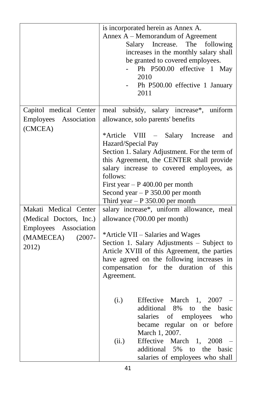|                                                                                                                                                                               | is incorporated herein as Annex A.<br>Annex A – Memorandum of Agreement<br>Salary Increase. The<br>following<br>increases in the monthly salary shall<br>be granted to covered employees.<br>Ph P500.00 effective 1 May<br>2010<br>Ph P500.00 effective 1 January<br>2011                                                                                                                                         |
|-------------------------------------------------------------------------------------------------------------------------------------------------------------------------------|-------------------------------------------------------------------------------------------------------------------------------------------------------------------------------------------------------------------------------------------------------------------------------------------------------------------------------------------------------------------------------------------------------------------|
| Capitol medical Center<br>Employees<br>Association<br>(CMCEA)<br>Makati Medical Center<br>(Medical Doctors, Inc.)<br>Employees Association<br>(MAMECEA)<br>$(2007 -$<br>2012) | meal subsidy, salary increase*, uniform<br>allowance, solo parents' benefits<br>*Article VIII – Salary Increase<br>and<br>Hazard/Special Pay<br>Section 1. Salary Adjustment. For the term of<br>this Agreement, the CENTER shall provide<br>salary increase to covered employees, as<br>follows:<br>First year $- P 400.00$ per month<br>Second year $- P 350.00$ per month<br>Third year $- P 350.00$ per month |
|                                                                                                                                                                               | salary increase*, uniform allowance, meal<br>allowance (700.00 per month)<br>*Article VII – Salaries and Wages<br>Section 1. Salary Adjustments - Subject to<br>Article XVIII of this Agreement, the parties<br>have agreed on the following increases in<br>compensation for the duration<br>of this<br>Agreement.                                                                                               |
|                                                                                                                                                                               | Effective March<br>(i.)<br>1.<br>2007<br>additional 8%<br>the<br>basic<br>to<br>of employees<br>who<br>salaries<br>regular on or before<br>became<br>March 1, 2007.<br>Effective March<br>2008<br>(ii.)<br>1,<br>5%<br>additional<br>the<br>basic<br>to<br>salaries of employees who shall                                                                                                                        |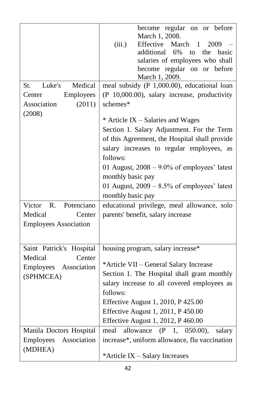|                                                                                        | become regular on or before<br>March 1, 2008.<br>(iii.)<br>Effective<br>March<br>2009<br>1<br>additional 6%<br>to<br>the basic<br>salaries of employees who shall<br>become regular on or before<br>March 1, 2009.                                                                                                                                                                                                            |
|----------------------------------------------------------------------------------------|-------------------------------------------------------------------------------------------------------------------------------------------------------------------------------------------------------------------------------------------------------------------------------------------------------------------------------------------------------------------------------------------------------------------------------|
| Luke's<br>Medical<br>St.<br>Employees<br>Center<br>Association<br>(2011)<br>(2008)     | meal subsidy (P 1,000.00), educational loan<br>(P 10,000.00), salary increase, productivity<br>schemes*<br>* Article IX – Salaries and Wages<br>Section 1. Salary Adjustment. For the Term<br>of this Agreement, the Hospital shall provide<br>salary increases to regular employees, as<br>follows:<br>01 August, $2008 - 9.0\%$ of employees' latest<br>monthly basic pay<br>01 August, $2009 - 8.5\%$ of employees' latest |
|                                                                                        | monthly basic pay                                                                                                                                                                                                                                                                                                                                                                                                             |
| R.<br>Potenciano<br>Victor<br>Medical<br>Center<br><b>Employees Association</b>        | educational privilege, meal allowance, solo<br>parents' benefit, salary increase                                                                                                                                                                                                                                                                                                                                              |
| Saint Patrick's Hospital<br>Medical<br>Center<br>Employees<br>Association<br>(SPHMCEA) | housing program, salary increase*<br>*Article VII - General Salary Increase<br>Section 1. The Hospital shall grant monthly<br>salary increase to all covered employees as<br>follows:<br>Effective August 1, 2010, P 425.00<br>Effective August 1, 2011, P 450.00<br>Effective August 1, 2012, P 460.00                                                                                                                       |
| Manila Doctors Hospital<br>Employees<br>Association<br>(MDHEA)                         | meal<br>allowance<br>(P)<br>1,<br>$050.00$ ,<br>salary<br>increase*, uniform allowance, flu vaccination<br>*Article IX - Salary Increases                                                                                                                                                                                                                                                                                     |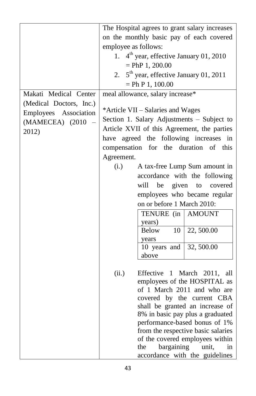|                         | The Hospital agrees to grant salary increases                       |  |  |  |  |
|-------------------------|---------------------------------------------------------------------|--|--|--|--|
|                         | on the monthly basic pay of each covered                            |  |  |  |  |
|                         | employee as follows:                                                |  |  |  |  |
|                         | 1. 4 <sup>th</sup> year, effective January 01, 2010                 |  |  |  |  |
|                         | $=$ PhP 1, 200.00                                                   |  |  |  |  |
|                         | 5 <sup>th</sup> year, effective January 01, 2011<br>2.              |  |  |  |  |
|                         | $=$ Ph P 1, 100.00                                                  |  |  |  |  |
| Makati Medical Center   | meal allowance, salary increase*                                    |  |  |  |  |
| (Medical Doctors, Inc.) |                                                                     |  |  |  |  |
| Employees Association   | *Article VII – Salaries and Wages                                   |  |  |  |  |
| (MAMECEA) (2010)        | Section 1. Salary Adjustments - Subject to                          |  |  |  |  |
| 2012)                   | Article XVII of this Agreement, the parties                         |  |  |  |  |
|                         | have agreed the following increases in                              |  |  |  |  |
|                         | compensation for the duration of this                               |  |  |  |  |
|                         | Agreement.                                                          |  |  |  |  |
|                         | (i.)<br>A tax-free Lump Sum amount in                               |  |  |  |  |
|                         | accordance with the following                                       |  |  |  |  |
|                         | will<br>be<br>given<br>covered<br>to                                |  |  |  |  |
|                         | employees who became regular                                        |  |  |  |  |
|                         | on or before 1 March 2010:                                          |  |  |  |  |
|                         | TENURE (in<br><b>AMOUNT</b>                                         |  |  |  |  |
|                         | years)                                                              |  |  |  |  |
|                         | <b>Below</b><br>10<br>22,500.00                                     |  |  |  |  |
|                         | years                                                               |  |  |  |  |
|                         | 10 years and<br>32,500.00                                           |  |  |  |  |
|                         | above                                                               |  |  |  |  |
|                         |                                                                     |  |  |  |  |
|                         | (ii.)<br>Effective 1<br>March<br>2011, all                          |  |  |  |  |
|                         | employees of the HOSPITAL as                                        |  |  |  |  |
|                         | of 1 March 2011 and who are                                         |  |  |  |  |
|                         | covered by the current CBA                                          |  |  |  |  |
|                         | shall be granted an increase of<br>8% in basic pay plus a graduated |  |  |  |  |
|                         | performance-based bonus of 1%                                       |  |  |  |  |
|                         | from the respective basic salaries                                  |  |  |  |  |
|                         | of the covered employees within                                     |  |  |  |  |
|                         | bargaining<br>the<br>unit,<br>in                                    |  |  |  |  |
|                         | accordance with the guidelines                                      |  |  |  |  |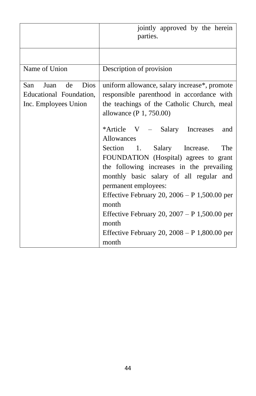|                                  | jointly approved by the herein<br>parties.                      |  |  |  |  |
|----------------------------------|-----------------------------------------------------------------|--|--|--|--|
|                                  |                                                                 |  |  |  |  |
| Name of Union                    | Description of provision                                        |  |  |  |  |
| de<br><b>Dios</b><br>San<br>Juan | uniform allowance, salary increase*, promote                    |  |  |  |  |
| Educational Foundation,          | responsible parenthood in accordance with                       |  |  |  |  |
| Inc. Employees Union             | the teachings of the Catholic Church, meal                      |  |  |  |  |
|                                  | allowance (P 1, 750.00)                                         |  |  |  |  |
|                                  | *Article V – Salary Increases<br>and<br>Allowances              |  |  |  |  |
|                                  | Section 1. Salary Increase.<br>The                              |  |  |  |  |
|                                  | FOUNDATION (Hospital) agrees to grant                           |  |  |  |  |
|                                  | the following increases in the prevailing                       |  |  |  |  |
|                                  | monthly basic salary of all regular and<br>permanent employees: |  |  |  |  |
|                                  | Effective February 20, $2006 - P$ 1,500.00 per                  |  |  |  |  |
|                                  | month                                                           |  |  |  |  |
|                                  | Effective February 20, $2007 - P$ 1,500.00 per                  |  |  |  |  |
|                                  | month                                                           |  |  |  |  |
|                                  | Effective February 20, $2008 - P$ 1,800.00 per<br>month         |  |  |  |  |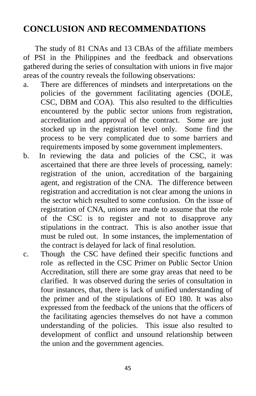#### **CONCLUSION AND RECOMMENDATIONS**

 The study of 81 CNAs and 13 CBAs of the affiliate members of PSI in the Philippines and the feedback and observations gathered during the series of consultation with unions in five major areas of the country reveals the following observations:

- a. There are differences of mindsets and interpretations on the policies of the government facilitating agencies (DOLE, CSC, DBM and COA). This also resulted to the difficulties encountered by the public sector unions from registration, accreditation and approval of the contract. Some are just stocked up in the registration level only. Some find the process to be very complicated due to some barriers and requirements imposed by some government implementers.
- b. In reviewing the data and policies of the CSC, it was ascertained that there are three levels of processing, namely: registration of the union, accreditation of the bargaining agent, and registration of the CNA. The difference between registration and accreditation is not clear among the unions in the sector which resulted to some confusion. On the issue of registration of CNA, unions are made to assume that the role of the CSC is to register and not to disapprove any stipulations in the contract. This is also another issue that must be ruled out. In some instances, the implementation of the contract is delayed for lack of final resolution.
- c. Though the CSC have defined their specific functions and role as reflected in the CSC Primer on Public Sector Union Accreditation, still there are some gray areas that need to be clarified. It was observed during the series of consultation in four instances, that, there is lack of unified understanding of the primer and of the stipulations of EO 180. It was also expressed from the feedback of the unions that the officers of the facilitating agencies themselves do not have a common understanding of the policies. This issue also resulted to development of conflict and unsound relationship between the union and the government agencies.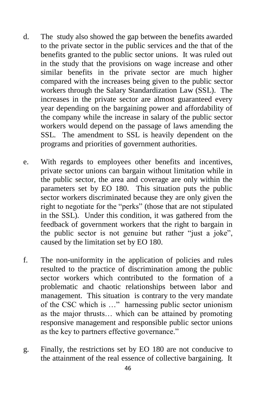- d. The study also showed the gap between the benefits awarded to the private sector in the public services and the that of the benefits granted to the public sector unions. It was ruled out in the study that the provisions on wage increase and other similar benefits in the private sector are much higher compared with the increases being given to the public sector workers through the Salary Standardization Law (SSL). The increases in the private sector are almost guaranteed every year depending on the bargaining power and affordability of the company while the increase in salary of the public sector workers would depend on the passage of laws amending the SSL. The amendment to SSL is heavily dependent on the programs and priorities of government authorities.
- e. With regards to employees other benefits and incentives, private sector unions can bargain without limitation while in the public sector, the area and coverage are only within the parameters set by EO 180. This situation puts the public sector workers discriminated because they are only given the right to negotiate for the "perks" (those that are not stipulated in the SSL). Under this condition, it was gathered from the feedback of government workers that the right to bargain in the public sector is not genuine but rather "just a joke", caused by the limitation set by EO 180.
- f. The non-uniformity in the application of policies and rules resulted to the practice of discrimination among the public sector workers which contributed to the formation of a problematic and chaotic relationships between labor and management. This situation is contrary to the very mandate of the CSC which is …" harnessing public sector unionism as the major thrusts… which can be attained by promoting responsive management and responsible public sector unions as the key to partners effective governance."
- g. Finally, the restrictions set by EO 180 are not conducive to the attainment of the real essence of collective bargaining. It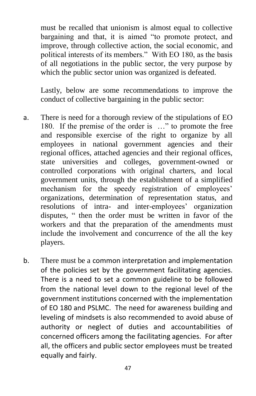must be recalled that unionism is almost equal to collective bargaining and that, it is aimed "to promote protect, and improve, through collective action, the social economic, and political interests of its members." With EO 180, as the basis of all negotiations in the public sector, the very purpose by which the public sector union was organized is defeated.

Lastly, below are some recommendations to improve the conduct of collective bargaining in the public sector:

- a. There is need for a thorough review of the stipulations of EO 180. If the premise of the order is ..." to promote the free and responsible exercise of the right to organize by all employees in national government agencies and their regional offices, attached agencies and their regional offices, state universities and colleges, government-owned or controlled corporations with original charters, and local government units, through the establishment of a simplified mechanism for the speedy registration of employees' organizations, determination of representation status, and resolutions of intra- and inter-employees' organization disputes, " then the order must be written in favor of the workers and that the preparation of the amendments must include the involvement and concurrence of the all the key players.
- b. There must be a common interpretation and implementation of the policies set by the government facilitating agencies. There is a need to set a common guideline to be followed from the national level down to the regional level of the government institutions concerned with the implementation of EO 180 and PSLMC. The need for awareness building and leveling of mindsets is also recommended to avoid abuse of authority or neglect of duties and accountabilities of concerned officers among the facilitating agencies. For after all, the officers and public sector employees must be treated equally and fairly.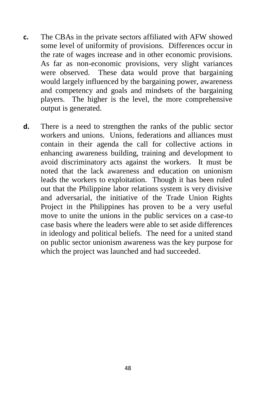- **c.** The CBAs in the private sectors affiliated with AFW showed some level of uniformity of provisions. Differences occur in the rate of wages increase and in other economic provisions. As far as non-economic provisions, very slight variances were observed. These data would prove that bargaining would largely influenced by the bargaining power, awareness and competency and goals and mindsets of the bargaining players. The higher is the level, the more comprehensive output is generated.
- **d.** There is a need to strengthen the ranks of the public sector workers and unions. Unions, federations and alliances must contain in their agenda the call for collective actions in enhancing awareness building, training and development to avoid discriminatory acts against the workers. It must be noted that the lack awareness and education on unionism leads the workers to exploitation. Though it has been ruled out that the Philippine labor relations system is very divisive and adversarial, the initiative of the Trade Union Rights Project in the Philippines has proven to be a very useful move to unite the unions in the public services on a case-to case basis where the leaders were able to set aside differences in ideology and political beliefs. The need for a united stand on public sector unionism awareness was the key purpose for which the project was launched and had succeeded.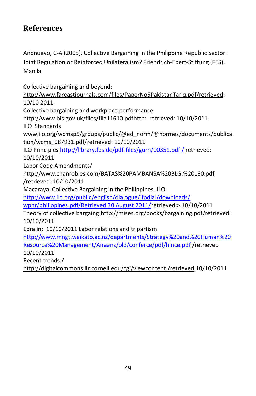#### **References**

Añonuevo, C-A (2005), Collective Bargaining in the Philippine Republic Sector: Joint Regulation or Reinforced Unilateralism? Friendrich-Ebert-Stiftung (FES), Manila

Collective bargaining and beyond: [http://www.fareastjournals.com/files/PaperNo5PakistanTariq.pdf/retrieved:](http://www.fareastjournals.com/files/PaperNo5PakistanTariq.pdf/retrieved)  10/10 2011 Collective bargaining and workplace performance [http://www.bis.gov.uk/files/file11610.pdfhttp: retrieved: 10/10/2011](http://www.bis.gov.uk/files/file11610.pdf) ILO Standards www.ilo.org/wcmsp5/groups/public/@ed\_norm/@normes/documents/publica tion/wcms\_087931.pdf/retrieved: 10/10/2011 ILO Principles [http://library.fes.de/pdf-files/gurn/00351.pdf](http://library.fes.de/pdf-files/gurn/00351.pdf%20/) / retrieved: 10/10/2011 Labor Code Amendments/ <http://www.chanrobles.com/BATAS%20PAMBANSA%20BLG.%20130.pdf> /retrieved: 10/10/2011 Macaraya, Collective Bargaining in the Philippines, ILO [http://www.ilo.org/public/english/dialogue/ifpdial/downloads/](http://www.ilo.org/public/english/dialogue/ifpdial/downloads/%20wpnr/philippines.pdf/Retrieved%2030%20August%202011/) [wpnr/philippines.pdf/Retrieved 30 August 2011/r](http://www.ilo.org/public/english/dialogue/ifpdial/downloads/%20wpnr/philippines.pdf/Retrieved%2030%20August%202011/)etrieved:> 10/10/2011 Theory of collective bargaing[:http://mises.org/books/bargaining.pdf/](http://mises.org/books/bargaining.pdf)retrieved: 10/10/2011 Edralin: 10/10/2011 Labor relations and tripartism [http://www.mngt.waikato.ac.nz/departments/Strategy%20and%20Human%20](http://www.mngt.waikato.ac.nz/departments/Strategy%20and%20Human%20Resource%20Management/Airaanz/old/conferce/pdf/hince.pdf) [Resource%20Management/Airaanz/old/conferce/pdf/hince.pdf](http://www.mngt.waikato.ac.nz/departments/Strategy%20and%20Human%20Resource%20Management/Airaanz/old/conferce/pdf/hince.pdf) /retrieved 10/10/2011 Recent trends:/

<http://digitalcommons.ilr.cornell.edu/cgi/viewcontent./retrieved> 10/10/2011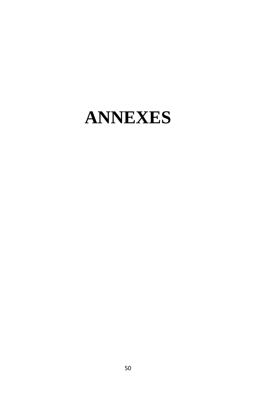### **ANNEXES**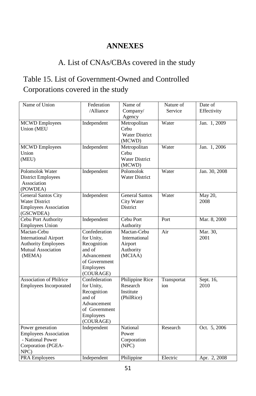#### **ANNEXES**

#### A. List of CNAs/CBAs covered in the study

#### Table 15. List of Government-Owned and Controlled Corporations covered in the study

| Name of Union                                                                                             | Federation<br>/Alliance                                                                                        | Name of<br>Company/<br>Agency                                   | Nature of<br>Service | Date of<br>Effectivity |
|-----------------------------------------------------------------------------------------------------------|----------------------------------------------------------------------------------------------------------------|-----------------------------------------------------------------|----------------------|------------------------|
| <b>MCWD</b> Employees<br><b>Union</b> (MEU                                                                | Independent                                                                                                    | Metropolitan<br>Cebu<br><b>Water District</b><br>(MCWD)         | Water                | Jan. 1, 2009           |
| <b>MCWD</b> Employees<br>Union<br>(MEU)                                                                   | Independent                                                                                                    | Metropolitan<br>Cebu<br><b>Water District</b><br>(MCWD)         | Water                | Jan. 1, 2006           |
| Polomolok Water<br><b>District Employees</b><br>Association<br>(POWDEA)                                   | Independent                                                                                                    | Polomolok<br><b>Water District</b>                              | Water                | Jan. 30, 2008          |
| <b>General Santos City</b><br><b>Water District</b><br><b>Employees Association</b><br>(GSCWDEA)          | Independent                                                                                                    | <b>General Santos</b><br>City Water<br><b>District</b>          | Water                | May 20,<br>2008        |
| Cebu Port Authority<br><b>Employees Union</b>                                                             | Independent                                                                                                    | Cebu Port<br>Authority                                          | Port                 | Mar. 8, 2000           |
| Mactan-Cebu<br><b>International Airport</b><br><b>Authority Employees</b><br>Mutual Association<br>(MEMA) | Confederation<br>for Unity,<br>Recognition<br>and of<br>Advancement<br>of Government<br>Employees<br>(COURAGE) | Mactan-Cebu<br>International<br>Airport<br>Authority<br>(MCIAA) | Air                  | Mar. 30,<br>2001       |
| <b>Association of Philrice</b><br>Employees Incorporated                                                  | Confederation<br>for Unity,<br>Recognition<br>and of<br>Advancement<br>of Government<br>Employees<br>(COURAGE) | Philippine Rice<br>Research<br>Institute<br>(PhilRice)          | Transportat<br>ion   | Sept. 16,<br>2010      |
| Power generation<br><b>Employees Association</b><br>- National Power<br>Corporation (PGEA-<br>NPC)        | Independent                                                                                                    | National<br>Power<br>Corporation<br>(NPC)                       | Research             | Oct. 5, 2006           |
| <b>PRA Employees</b>                                                                                      | Independent                                                                                                    | Philippine                                                      | Electric             | Apr. 2, 2008           |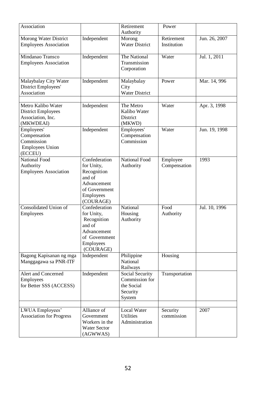| Association                                                                       |                                                                                                                | Retirement<br>Authority                                               | Power                     |               |
|-----------------------------------------------------------------------------------|----------------------------------------------------------------------------------------------------------------|-----------------------------------------------------------------------|---------------------------|---------------|
| Morong Water District<br><b>Employees Association</b>                             | Independent                                                                                                    | Morong<br><b>Water District</b>                                       | Retirement<br>Institution | Jun. 26, 2007 |
| Mindanao Transco<br><b>Employees Association</b>                                  | Independent                                                                                                    | The National<br>Transmission<br>Corporation                           | Water                     | Jul. 1, 2011  |
| Malaybalay City Water<br>District Employees'<br>Association                       | Independent                                                                                                    | Malaybalay<br>City<br>Water District                                  | Power                     | Mar. 14, 996  |
| Metro Kalibo Water<br><b>District Employees</b><br>Association, Inc.<br>(MKWDEAI) | Independent                                                                                                    | The Metro<br>Kalibo Water<br>District<br>(MKWD)                       | Water                     | Apr. 3, 1998  |
| Employees'<br>Compensation<br>Commission<br><b>Employees Union</b><br>(ECCEU)     | Independent                                                                                                    | Employees'<br>Compensation<br>Commission                              | Water                     | Jun. 19, 1998 |
| National Food<br>Authority<br><b>Employees Association</b>                        | Confederation<br>for Unity,<br>Recognition<br>and of<br>Advancement<br>of Government<br>Employees<br>(COURAGE) | National Food<br>Authority                                            | Employee<br>Compensation  | 1993          |
| Consolidated Union of<br>Employees                                                | Confederation<br>for Unity,<br>Recognition<br>and of<br>Advancement<br>of Government<br>Employees<br>(COURAGE) | National<br>Housing<br>Authority                                      | Food<br>Authority         | Jul. 10, 1996 |
| Bagong Kapisanan ng mga<br>Manggagawa sa PNR-ITF                                  | Independent                                                                                                    | Philippine<br>National<br>Railways                                    | Housing                   |               |
| Alert and Concerned<br>Employees<br>for Better SSS (ACCESS)                       | Independent                                                                                                    | Social Security<br>Commission for<br>the Social<br>Security<br>System | Transportation            |               |
| LWUA Employees'<br><b>Association</b> for Progress                                | Alliance of<br>Government<br>Workers in the<br>Water Sector<br>(AGWWAS)                                        | Local Water<br><b>Utilities</b><br>Administration                     | Security<br>commission    | 2007          |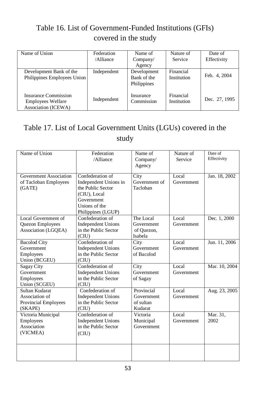#### Table 16. List of Government-Funded Institutions (GFIs) covered in the study

| Name of Union                                                           | Federation<br>/Alliance | Name of<br>Company/                       | Nature of<br>Service     | Date of<br>Effectivity |
|-------------------------------------------------------------------------|-------------------------|-------------------------------------------|--------------------------|------------------------|
|                                                                         |                         | Agency                                    |                          |                        |
| Development Bank of the<br>Philippines Employees Union                  | Independent             | Development<br>Bank of the<br>Philippines | Financial<br>Institution | Feb. 4, 2004           |
| Insurance Commission<br><b>Employees Welfare</b><br>Association (ICEWA) | Independent             | Insurance<br>Commission                   | Financial<br>Institution | Dec. 27, 1995          |

#### Table 17. List of Local Government Units (LGUs) covered in the study

| Name of Union                                                       | Federation<br>/Alliance                                                                                                             | Name of<br>Company/<br>Agency                    | Nature of<br>Service | Date of<br>Effectivity |
|---------------------------------------------------------------------|-------------------------------------------------------------------------------------------------------------------------------------|--------------------------------------------------|----------------------|------------------------|
| Government Association<br>of Tacloban Employees<br>(GATE)           | Confederation of<br>Independent Unions in<br>the Public Sector<br>(CIU), Local<br>Government<br>Unions of the<br>Philippines (LGUP) | City<br>Government of<br>Tacloban                | Local<br>Government  | Jan. 18, 2002          |
| Local Government of<br>Quezon Employees<br>Association (LGQEA)      | Confederation of<br><b>Independent Unions</b><br>in the Public Sector<br>(CIU)                                                      | The Local<br>Government<br>of Ouezon,<br>Isabela | Local<br>Government  | Dec. 1, 2000           |
| <b>Bacolod City</b><br>Government<br>Employees<br>Union (BCGEU)     | Confederation of<br><b>Independent Unions</b><br>in the Public Sector<br>(CIU)                                                      | City<br>Government<br>of Bacolod                 | Local<br>Government  | Jun. 11, 2006          |
| Sagay City<br>Government<br>Employees<br>Union (SCGEU)              | Confederation of<br><b>Independent Unions</b><br>in the Public Sector<br>(CIU)                                                      | City<br>Government<br>of Sagay                   | Local<br>Government  | Mar. 10, 2004          |
| Sultan Kudarat<br>Association of<br>Provincial Employees<br>(SKAPE) | Confederation of<br><b>Independent Unions</b><br>in the Public Sector<br>(CIU)                                                      | Provincial<br>Government<br>of sultan<br>Kudarat | Local<br>Government  | Aug. 23, 2005          |
| Victoria Municipal<br>Employees<br>Association<br>(VICMEA)          | Confederation of<br><b>Independent Unions</b><br>in the Public Sector<br>(CIU)                                                      | Victoria<br>Municipal<br>Government              | Local<br>Government  | Mar. 31,<br>2002       |
|                                                                     |                                                                                                                                     |                                                  |                      |                        |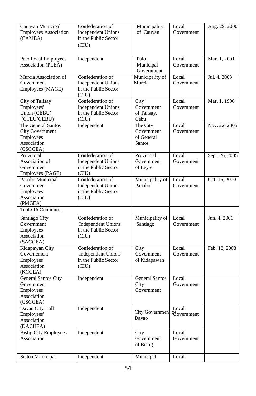| Cauayan Municipal<br><b>Employees Association</b><br>(CAMEA)                         | Confederation of<br><b>Independent Unions</b><br>in the Public Sector<br>(CIU) | Municipality<br>of Cauyan                      | Local<br>Government | Aug. 29, 2000  |
|--------------------------------------------------------------------------------------|--------------------------------------------------------------------------------|------------------------------------------------|---------------------|----------------|
| Palo Local Employees<br>Association (PLEA)                                           | Independent                                                                    | Palo<br>Municipal<br>Government                | Local<br>Government | Mar. 1, 2001   |
| Murcia Association of<br>Government<br>Employees (MAGE)                              | Confederation of<br><b>Independent Unions</b><br>in the Public Sector<br>(CIU) | Municipality of<br>Murcia                      | Local<br>Government | Jul. 4, 2003   |
| City of Talisay<br>Employees'<br>Union (CEBU)<br>(CTEU(CEBU)                         | Confederation of<br><b>Independent Unions</b><br>in the Public Sector<br>(CIU) | City<br>Government<br>of Talisay,<br>Cebu      | Local<br>Government | Mar. 1, 1996   |
| The General Santos<br><b>City Government</b><br>Employees<br>Association<br>(GSCGEA) | Independent                                                                    | The City<br>Government<br>of General<br>Santos | Local<br>Government | Nov. 22, 2005  |
| Provincial<br>Association of<br>Government<br>Employees (PAGE)                       | Confederation of<br><b>Independent Unions</b><br>in the Public Sector<br>(CIU) | Provincial<br>Government<br>of Leyte           | Local<br>Government | Sept. 26, 2005 |
| Panabo Municipal<br>Government<br>Employees<br>Association<br>(PMGEA)                | Confederation of<br><b>Independent Unions</b><br>in the Public Sector<br>(CIU) | Municipality of<br>Panabo                      | Local<br>Government | Oct. 16, 2000  |
| Table 16 Continue                                                                    |                                                                                |                                                |                     |                |
| Santiago City<br>Government<br>Employees<br>Association<br>(SACGEA)                  | Confederation of<br><b>Independent Unions</b><br>in the Public Sector<br>(CIU) | Municipality of<br>Santiago                    | Local<br>Government | Jun. 4, 2001   |
| Kidapawan City<br>Governement<br>Employees<br>Association<br>(KCGEA)                 | Confederation of<br><b>Independent Unions</b><br>in the Public Sector<br>(CIU) | City<br>Government<br>of Kidapawan             | Local<br>Government | Feb. 18, 2008  |
| <b>General Santos City</b><br>Government<br>Employees<br>Association<br>(GSCGEA)     | Independent                                                                    | <b>General Santos</b><br>City<br>Government    | Local<br>Government |                |
| Davao City Hall<br>Employees'<br>Association<br>(DACHEA)                             | Independent                                                                    | City Government<br>Davao                       | Local<br>Government |                |
| <b>Bislig City Employees</b><br>Association                                          | Independent                                                                    | City<br>Government<br>of Bislig                | Local<br>Government |                |
| Siaton Municipal                                                                     | Independent                                                                    | Municipal                                      | Local               |                |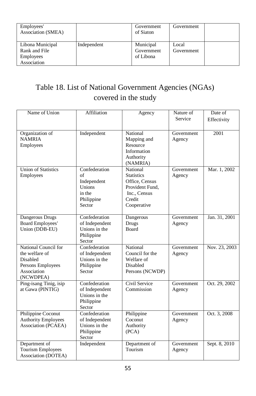| Employees'<br>Association (SMEA)                                     |             | Government<br>of Siaton              | Government          |  |
|----------------------------------------------------------------------|-------------|--------------------------------------|---------------------|--|
| Libona Municipal<br>Rank and File<br><b>Employees</b><br>Association | Independent | Municipal<br>Government<br>of Libona | Local<br>Government |  |

#### Table 18. List of National Government Agencies (NGAs) covered in the study

| Name of Union              | <b>Affiliation</b>              | Agency                        | Nature of  | Date of       |
|----------------------------|---------------------------------|-------------------------------|------------|---------------|
|                            |                                 |                               | Service    | Effectivity   |
|                            |                                 |                               |            |               |
| Organization of            | Independent                     | National                      | Government | 2001          |
| <b>NAMRIA</b>              |                                 | Mapping and                   | Agency     |               |
| Employees                  |                                 | Resource<br>Information       |            |               |
|                            |                                 | Authority                     |            |               |
|                            |                                 | (NAMRIA)                      |            |               |
| <b>Union of Statistics</b> | Confederation                   | National                      | Government | Mar. 1, 2002  |
| Employees                  | of                              | <b>Statistics</b>             | Agency     |               |
|                            | Independent                     | Office, Census                |            |               |
|                            | Unions                          | Provident Fund,               |            |               |
|                            | in the                          | Inc., Census                  |            |               |
|                            | Philippine                      | Credit                        |            |               |
|                            | Sector                          | Cooperative                   |            |               |
| Dangerous Drugs            | Confederation                   | Dangerous                     | Government | Jan. 31, 2001 |
| <b>Board Employees'</b>    | of Independent                  | <b>Drugs</b>                  | Agency     |               |
| Union (DDB-EU)             | Unions in the                   | Board                         |            |               |
|                            | Philippine                      |                               |            |               |
|                            | Sector                          |                               |            |               |
| National Council for       | Confederation                   | National                      | Government | Nov. 23, 2003 |
| the welfare of<br>Disabled | of Independent<br>Unions in the | Council for the<br>Welfare of | Agency     |               |
| Persons Employees          | Philippine                      | Disabled                      |            |               |
| Association                | Sector                          | Persons (NCWDP)               |            |               |
| (NCWDPEA)                  |                                 |                               |            |               |
| Ping-isang Tinig, isip     | Confederation                   | Civil Service                 | Government | Oct. 29, 2002 |
| at Gawa (PINTIG)           | of Independent                  | Commission                    | Agency     |               |
|                            | Unions in the                   |                               |            |               |
|                            | Philippine                      |                               |            |               |
| Philippine Coconut         | Sector<br>Confederation         | Philippine                    | Government | Oct. 3, 2008  |
| <b>Authority Employees</b> | of Independent                  | Coconut                       | Agency     |               |
| Association (PCAEA)        | Unions in the                   | Authority                     |            |               |
|                            | Philippine                      | (PCA)                         |            |               |
|                            | Sector                          |                               |            |               |
| Department of              | Independent                     | Department of                 | Government | Sept. 8, 2010 |
| <b>Tourism Employees</b>   |                                 | Tourism                       | Agency     |               |
| Association (DOTEA)        |                                 |                               |            |               |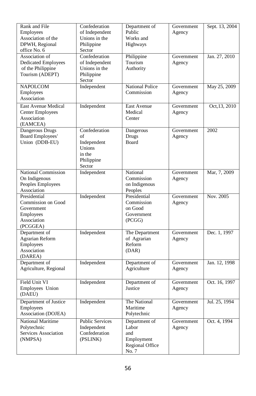| Rank and File<br>Employees<br>Association of the<br>DPWH, Regional<br>office No. 6       | Confederation<br>of Independent<br>Unions in the<br>Philippine<br>Sector       | Department of<br>Public<br>Works and<br>Highways                        | Government<br>Agency | Sept. 13, 2004 |
|------------------------------------------------------------------------------------------|--------------------------------------------------------------------------------|-------------------------------------------------------------------------|----------------------|----------------|
| Association of<br><b>Dedicated Employees</b><br>of the Philippine<br>Tourism (ADEPT)     | Confederation<br>of Independent<br>Unions in the<br>Philippine<br>Sector       | Philippine<br>Tourism<br>Authority                                      | Government<br>Agency | Jan. 27, 2010  |
| <b>NAPOLCOM</b><br>Employees<br>Association                                              | Independent                                                                    | <b>National Police</b><br>Commission                                    | Government<br>Agency | May 25, 2009   |
| East Avenue Medical<br><b>Center Employees</b><br>Association<br>(EAMCEA)                | Independent                                                                    | East Avenue<br>Medical<br>Center                                        | Government<br>Agency | Oct, 13, 2010  |
| Dangerous Drugs<br><b>Board Employees'</b><br>Union (DDB-EU)                             | Confederation<br>οf<br>Independent<br>Unions<br>in the<br>Philippine<br>Sector | Dangerous<br>Drugs<br>Board                                             | Government<br>Agency | 2002           |
| National Commission<br>On Indigenous<br>Peoples Employees<br>Association                 | Independent                                                                    | National<br>Commission<br>on Indigenous<br>Peoples                      | Government<br>Agency | Mar, 7, 2009   |
| Presidential<br>Commission on Good<br>Government<br>Employees<br>Association<br>(PCGGEA) | Independent                                                                    | Presidential<br>Commission<br>on Good<br>Government<br>(PCGG)           | Government<br>Agency | Nov. 2005      |
| Department of<br>Agrarian Reform<br>Employees<br>Association<br>(DAREA)                  | Independent                                                                    | The Department<br>of Agrarian<br>Reform<br>(DAR)                        | Government<br>Agency | Dec. 1, 1997   |
| Department of<br>Agriculture, Regional                                                   | Independent                                                                    | Department of<br>Agriculture                                            | Government<br>Agency | Jan. 12, 1998  |
| Field Unit VI<br>Employees Union<br>(DAEU)                                               | Independent                                                                    | Department of<br>Justice                                                | Government<br>Agency | Oct. 16, 1997  |
| Department of Justice<br>Employees<br>Association (DOJEA)                                | Independent                                                                    | The National<br>Maritime<br>Polytechnic                                 | Government<br>Agency | Jul. 25, 1994  |
| National Maritime<br>Polytechnic<br>Services Association<br>(NMPSA)                      | <b>Public Services</b><br>Independent<br>Confederation<br>(PSLINK)             | Department of<br>Labor<br>and<br>Employment<br>Regional Office<br>No. 7 | Government<br>Agency | Oct. 4, 1994   |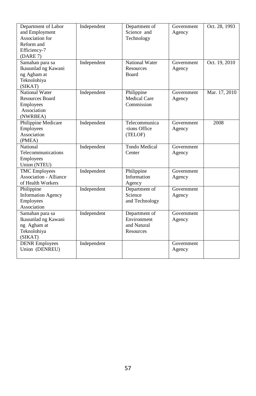| Department of Labor<br>and Employment<br>Association for<br>Reform and<br>Efficiency-7<br>(DARE 7) | Independent | Department of<br>Science and<br>Technology               | Government<br>Agency        | Oct. 28, 1993 |
|----------------------------------------------------------------------------------------------------|-------------|----------------------------------------------------------|-----------------------------|---------------|
| Samahan para sa<br>Ikauunlad ng Kawani<br>ng Agham at<br>Teknolohiya<br>(SIKAT)                    | Independent | National Water<br>Resources<br><b>Board</b>              | <b>Government</b><br>Agency | Oct. 19, 2010 |
| National Water<br>Resources Board<br>Employees<br>Association<br>(NWRBEA)                          | Independent | Philippine<br>Medical Care<br>Commission                 | Government<br>Agency        | Mar. 17, 2010 |
| Philippine Medicare<br>Employees<br>Association<br>(PMEA)                                          | Independent | Telecommunica<br>-tions Office<br>(TELOF)                | Government<br>Agency        | 2008          |
| National<br>Telecommunications<br>Employees<br>Union (NTEU)                                        | Independent | <b>Tondo Medical</b><br>Center                           | Government<br>Agency        |               |
| <b>TMC</b> Employees<br>Association - Alliance<br>of Health Workers                                | Independent | Philippine<br>Information<br>Agency                      | Government<br>Agency        |               |
| Philippine<br><b>Information Agency</b><br>Employees<br>Association                                | Independent | Department of<br>Science<br>and Technology               | Government<br>Agency        |               |
| Samahan para sa<br>Ikauunlad ng Kawani<br>ng Agham at<br>Teknolohiya<br>(SIKAT)                    | Independent | Department of<br>Environment<br>and Natural<br>Resources | <b>Government</b><br>Agency |               |
| <b>DENR</b> Employees<br>Union (DENREU)                                                            | Independent |                                                          | Government<br>Agency        |               |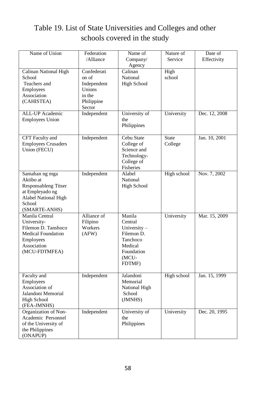#### Table 19. List of State Universities and Colleges and other schools covered in the study

| Name of Union                                                                                                                    | Federation<br>/Alliance                                                         | Name of<br>Company/                                                                                    | Nature of<br>Service    | Date of<br>Effectivity |
|----------------------------------------------------------------------------------------------------------------------------------|---------------------------------------------------------------------------------|--------------------------------------------------------------------------------------------------------|-------------------------|------------------------|
| Calinan National High<br>School<br>Teachers and<br>Employees<br>Association<br>(CAHISTEA)                                        | Confederati<br>on of<br>Independent<br>Unions<br>in the<br>Philippine<br>Sector | Agency<br>Calinan<br>National<br><b>High School</b>                                                    | High<br>school          |                        |
| <b>ALL-UP</b> Academic<br><b>Employees Union</b>                                                                                 | Independent                                                                     | University of<br>the<br>Philippines                                                                    | University              | Dec. 12, 2008          |
| CFT Faculty and<br><b>Employees Crusaders</b><br>Union (FECU)                                                                    | Independent                                                                     | Cebu State<br>College of<br>Science and<br>Technology-<br>College of<br>Fisheries                      | <b>State</b><br>College | Jan. 10, 2001          |
| Samahan ng mga<br>Aktibo at<br>Responsableng Titser<br>at Empleyado ng<br><b>Alabel National High</b><br>School<br>(SMARTE-ANHS) | Independent                                                                     | Alabel<br>National<br><b>High School</b>                                                               | High school             | Nov. 7, 2002           |
| Manila Central<br>University-<br>Filemon D. Tanshoco<br><b>Medical Foundation</b><br>Employees<br>Association<br>(MCU-FDTMFEA)   | Alliance of<br>Filipino<br>Workers<br>(AFW)                                     | Manila<br>Central<br>University-<br>Filemon D.<br>Tanchoco<br>Medical<br>Foundation<br>(MCU-<br>FDTMF) | University              | Mar. 15, 2009          |
| Faculty and<br>Employees<br>Association of<br>Jalandoni Memorial<br><b>High School</b><br>(FEA-JMNHS)                            | Independent                                                                     | Jalandoni<br>Memorial<br>National High<br>School<br>(JMNHS)                                            | High school             | Jan. 15, 1999          |
| Organization of Non-<br>Academic Personnel<br>of the University of<br>the Philippines<br>(ONAPUP)                                | Independent                                                                     | University of<br>the<br>Philippines                                                                    | University              | Dec. 20, 1995          |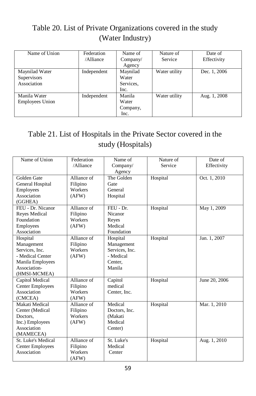#### Table 20. List of Private Organizations covered in the study (Water Industry)

| Name of Union                                | Federation<br>/Alliance | Name of<br>Company/<br>Agency          | Nature of<br>Service | Date of<br>Effectivity |
|----------------------------------------------|-------------------------|----------------------------------------|----------------------|------------------------|
| Maynilad Water<br>Supervisors<br>Association | Independent             | Maynilad<br>Water<br>Services.<br>Inc. | Water utility        | Dec. 1, 2006           |
| Manila Water<br>Employees Union              | Independent             | Manila<br>Water<br>Company,<br>Inc.    | Water utility        | Aug. 1, 2008           |

#### Table 21. List of Hospitals in the Private Sector covered in the study (Hospitals)

| Name of Union           | Federation  | Name of        | Nature of | Date of       |
|-------------------------|-------------|----------------|-----------|---------------|
|                         | /Alliance   | Company/       | Service   | Effectivity   |
|                         |             | Agency         |           |               |
| Golden Gate             | Alliance of | The Golden     | Hospital  | Oct. 1, 2010  |
| General Hospital        | Filipino    | Gate           |           |               |
| Employees               | Workers     | General        |           |               |
| Association             | (AFW)       | Hospital       |           |               |
| (GGHEA)                 |             |                |           |               |
| FEU - Dr. Nicanor       | Alliance of | FEU - Dr.      | Hospital  | May 1, 2009   |
| Reyes Medical           | Filipino    | Nicanor        |           |               |
| Foundation              | Workers     | Reyes          |           |               |
| Employees               | (AFW)       | Medical        |           |               |
| Association             |             | Foundation     |           |               |
| Hospital                | Alliance of | Hospital       | Hospital  | Jan. 1, 2007  |
| Management              | Filipino    | Management     |           |               |
| Services, Inc.          | Workers     | Services, Inc. |           |               |
| - Medical Center        | (AFW)       | - Medical      |           |               |
| Manila Employees        |             | Center,        |           |               |
| Association-            |             | Manila         |           |               |
| (HMSI-MCMEA)            |             |                |           |               |
| Capitol Medical         | Alliance of | Capitol        | Hospital  | June 20, 2006 |
| <b>Center Employees</b> | Filipino    | medical        |           |               |
| Association             | Workers     | Center, Inc.   |           |               |
| (CMCEA)                 | (AFW)       |                |           |               |
| Makati Medical          | Alliance of | Medical        | Hospital  | Mar. 1, 2010  |
| Center (Medical         | Filipino    | Doctors, Inc.  |           |               |
| Doctors.                | Workers     | (Makati        |           |               |
| Inc.) Employees         | (AFW)       | Medical        |           |               |
| Association             |             | Center)        |           |               |
| (MAMECEA)               |             |                |           |               |
| St. Luke's Medical      | Alliance of | St. Luke's     | Hospital  | Aug. 1, 2010  |
| Center Employees        | Filipino    | Medical        |           |               |
| Association             | Workers     | Center         |           |               |
|                         | (AFW)       |                |           |               |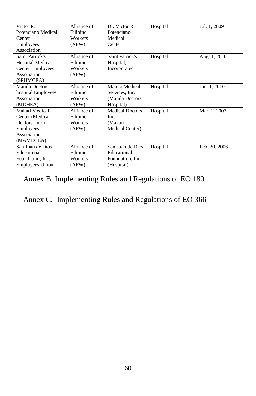| Victor R.               | Alliance of | Dr. Victor R.           | Hospital | Jul. 1, 2009  |
|-------------------------|-------------|-------------------------|----------|---------------|
| Potenciano Medical      | Filipino    | Potenciano              |          |               |
| Center                  | Workers     | Medical                 |          |               |
| Employees               | (AFW)       | Center                  |          |               |
| Association             |             |                         |          |               |
| Saint Patrick's         | Alliance of | Saint Patrick's         | Hospital | Aug. 1, 2010  |
| <b>Hospital Medical</b> | Filipino    | Hospital,               |          |               |
| <b>Center Employees</b> | Workers     | Incorporated            |          |               |
| Association             | (AFW)       |                         |          |               |
| (SPHMCEA)               |             |                         |          |               |
| Manila Doctors          | Alliance of | Manila Medical          | Hospital | Jan. 1, 2010  |
| hospital Employees      | Filipino    | Services, Inc.          |          |               |
| Association             | Workers     | (Manila Doctors)        |          |               |
| (MDHEA)                 | (AFW)       | Hospital)               |          |               |
| Makati Medical          | Alliance of | <b>Medical Doctors.</b> | Hospital | Mar. 1, 2007  |
| Center (Medical         | Filipino    | Inc.                    |          |               |
| Doctors, Inc.)          | Workers     | (Makati                 |          |               |
| Employees               | (AFW)       | Medical Center)         |          |               |
| Association             |             |                         |          |               |
| (MAMECEA)               |             |                         |          |               |
| San Juan de Dios        | Alliance of | San Juan de Dios        | Hospital | Feb. 20, 2006 |
| Educational             | Filipino    | Educational             |          |               |
| Foundation, Inc.        | Workers     | Foundation, Inc.        |          |               |
| <b>Employees Union</b>  | (AFW)       | (Hospital)              |          |               |

#### Annex B. Implementing Rules and Regulations of EO 180

Annex C. Implementing Rules and Regulations of EO 366